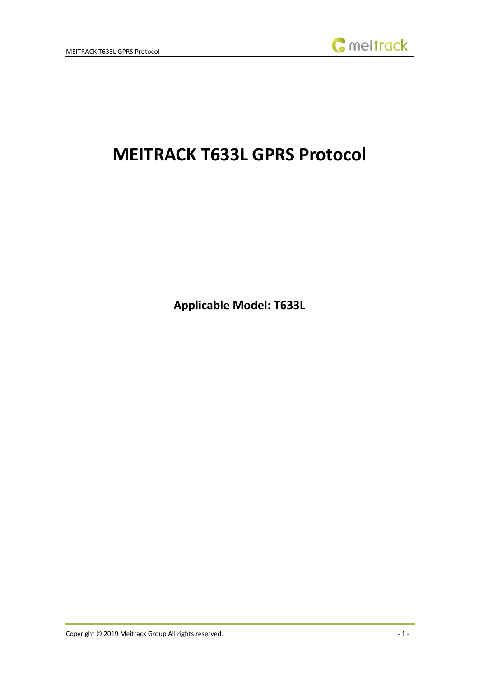

# **MEITRACK T633L GPRS Protocol**

**Applicable Model: T633L**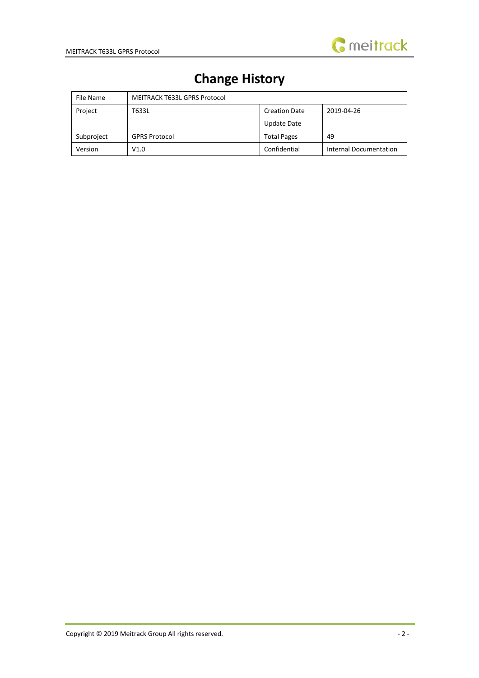

# **Change History**

| File Name  | MEITRACK T633L GPRS Protocol                |                    |                        |  |
|------------|---------------------------------------------|--------------------|------------------------|--|
| Project    | T633L<br>2019-04-26<br><b>Creation Date</b> |                    |                        |  |
|            |                                             | Update Date        |                        |  |
| Subproject | <b>GPRS Protocol</b>                        | <b>Total Pages</b> | 49                     |  |
| Version    | V1.0                                        | Confidential       | Internal Documentation |  |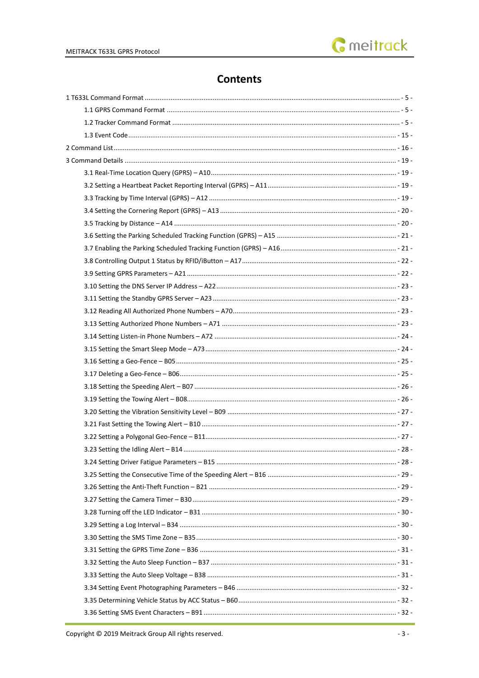# **Contents**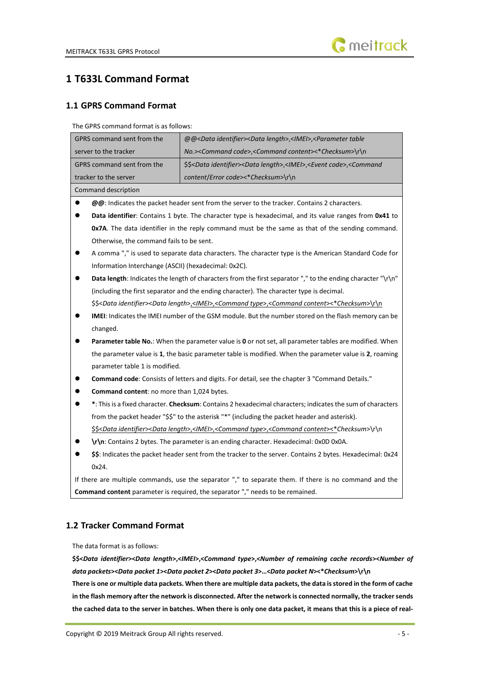

# <span id="page-4-0"></span>**1 T633L Command Format**

#### <span id="page-4-1"></span>**1.1 GPRS Command Format**

The GPRS command format is as follows:

| GPRS command sent from the                                                                                                          | @@ <data identifier=""><data length="">,<imei>,<parameter table<="" th=""></parameter></imei></data></data>                         |  |  |  |  |
|-------------------------------------------------------------------------------------------------------------------------------------|-------------------------------------------------------------------------------------------------------------------------------------|--|--|--|--|
| No.> <command code=""/> , <command content=""/> <*Checksum>\r\n<br>server to the tracker                                            |                                                                                                                                     |  |  |  |  |
| GPRS command sent from the                                                                                                          | \$\$ <data identifier=""><data length="">,<imei>,<event code="">,<command< td=""></command<></event></imei></data></data>           |  |  |  |  |
| tracker to the server                                                                                                               | content/Error code><*Checksum>\r\n                                                                                                  |  |  |  |  |
| Command description                                                                                                                 |                                                                                                                                     |  |  |  |  |
| $\bullet$                                                                                                                           | @@: Indicates the packet header sent from the server to the tracker. Contains 2 characters.                                         |  |  |  |  |
|                                                                                                                                     | Data identifier: Contains 1 byte. The character type is hexadecimal, and its value ranges from 0x41 to                              |  |  |  |  |
|                                                                                                                                     | Ox7A. The data identifier in the reply command must be the same as that of the sending command.                                     |  |  |  |  |
| Otherwise, the command fails to be sent.                                                                                            |                                                                                                                                     |  |  |  |  |
|                                                                                                                                     | A comma "," is used to separate data characters. The character type is the American Standard Code for                               |  |  |  |  |
| Information Interchange (ASCII) (hexadecimal: 0x2C).                                                                                |                                                                                                                                     |  |  |  |  |
|                                                                                                                                     | Data length: Indicates the length of characters from the first separator "," to the ending character "\r\n"                         |  |  |  |  |
|                                                                                                                                     | (including the first separator and the ending character). The character type is decimal.                                            |  |  |  |  |
|                                                                                                                                     | \$\$ <data identifier=""><data length="">,<imei>,<command type=""/>,<command content=""/>&lt;*Checksum&gt;\r\n</imei></data></data> |  |  |  |  |
|                                                                                                                                     | IMEI: Indicates the IMEI number of the GSM module. But the number stored on the flash memory can be                                 |  |  |  |  |
| changed.                                                                                                                            |                                                                                                                                     |  |  |  |  |
| Parameter table No.: When the parameter value is 0 or not set, all parameter tables are modified. When                              |                                                                                                                                     |  |  |  |  |
| the parameter value is 1, the basic parameter table is modified. When the parameter value is 2, roaming                             |                                                                                                                                     |  |  |  |  |
| parameter table 1 is modified.                                                                                                      |                                                                                                                                     |  |  |  |  |
|                                                                                                                                     | Command code: Consists of letters and digits. For detail, see the chapter 3 "Command Details."                                      |  |  |  |  |
| Command content: no more than 1,024 bytes.                                                                                          |                                                                                                                                     |  |  |  |  |
|                                                                                                                                     | *: This is a fixed character. Checksum: Contains 2 hexadecimal characters; indicates the sum of characters                          |  |  |  |  |
|                                                                                                                                     | from the packet header "\$\$" to the asterisk "*" (including the packet header and asterisk).                                       |  |  |  |  |
| \$\$ <data identifier=""><data length="">,<imei>,<command type=""/>,<command content=""/>&lt;*Checksum&gt;\r\n</imei></data></data> |                                                                                                                                     |  |  |  |  |
|                                                                                                                                     | \r\n: Contains 2 bytes. The parameter is an ending character. Hexadecimal: 0x0D 0x0A.                                               |  |  |  |  |
|                                                                                                                                     | \$\$: Indicates the packet header sent from the tracker to the server. Contains 2 bytes. Hexadecimal: 0x24                          |  |  |  |  |
| 0x24.                                                                                                                               |                                                                                                                                     |  |  |  |  |
|                                                                                                                                     | If there are multiple commands, use the separator "," to separate them. If there is no command and the                              |  |  |  |  |
| Command content parameter is required, the separator "," needs to be remained.                                                      |                                                                                                                                     |  |  |  |  |
|                                                                                                                                     |                                                                                                                                     |  |  |  |  |

#### <span id="page-4-2"></span>**1.2 Tracker Command Format**

The data format is as follows:

**\$\$<***Data identifier***><***Data length***>,<***IMEI***>,<***Command type***>,<***Number of remaining cache records***><***Number of data packets***><***Data packet 1***><***Data packet 2***><***Data packet 3***>…<***Data packet N***><\****Checksum***>\r\n**

**There is one or multiple data packets. When there are multiple data packets, the data is stored in the form of cache in the flash memory after the network is disconnected. After the network is connected normally, the tracker sends the cached data to the server in batches. When there is only one data packet, it means that this is a piece of real-**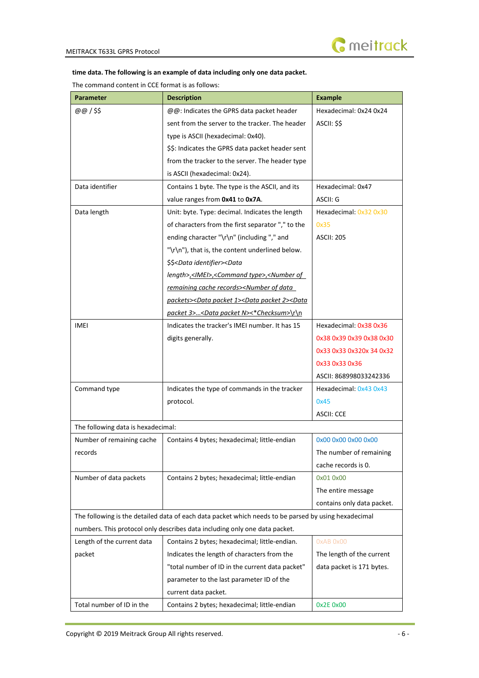

#### **time data. The following is an example of data including only one data packet.**

The command content in CCE format is as follows:

| <b>Parameter</b>                                                           | <b>Description</b>                                                                                   | <b>Example</b>             |  |
|----------------------------------------------------------------------------|------------------------------------------------------------------------------------------------------|----------------------------|--|
| @@/\$\$                                                                    | @@: Indicates the GPRS data packet header                                                            | Hexadecimal: 0x24 0x24     |  |
|                                                                            | sent from the server to the tracker. The header                                                      | ASCII: \$\$                |  |
|                                                                            | type is ASCII (hexadecimal: 0x40).                                                                   |                            |  |
|                                                                            | \$\$: Indicates the GPRS data packet header sent                                                     |                            |  |
|                                                                            | from the tracker to the server. The header type                                                      |                            |  |
|                                                                            | is ASCII (hexadecimal: 0x24).                                                                        |                            |  |
| Data identifier                                                            | Contains 1 byte. The type is the ASCII, and its                                                      | Hexadecimal: 0x47          |  |
|                                                                            | value ranges from 0x41 to 0x7A.                                                                      | ASCII: G                   |  |
| Data length                                                                | Unit: byte. Type: decimal. Indicates the length                                                      | Hexadecimal: 0x32 0x30     |  |
|                                                                            | of characters from the first separator"," to the                                                     | 0x35                       |  |
|                                                                            | ending character "\r\n" (including "," and                                                           | <b>ASCII: 205</b>          |  |
|                                                                            | "\r\n"), that is, the content underlined below.                                                      |                            |  |
|                                                                            | \$\$ <data identifier=""><data< td=""><td></td></data<></data>                                       |                            |  |
|                                                                            | length>, <imei>,<command type=""/>,<number of<="" td=""><td></td></number></imei>                    |                            |  |
|                                                                            | remaining cache records> <number data<="" of="" td=""><td></td></number>                             |                            |  |
|                                                                            | packets> <data 1="" packet=""><data 2="" packet=""><data< td=""><td></td></data<></data></data>      |                            |  |
|                                                                            | packet 3> <data n="" packet="">&lt;*Checksum&gt;\r\n</data>                                          |                            |  |
| IMEI                                                                       | Indicates the tracker's IMEI number. It has 15                                                       | Hexadecimal: 0x38 0x36     |  |
|                                                                            | digits generally.                                                                                    | 0x38 0x39 0x39 0x38 0x30   |  |
|                                                                            |                                                                                                      | 0x33 0x33 0x320x 34 0x32   |  |
|                                                                            |                                                                                                      | 0x33 0x33 0x36             |  |
|                                                                            |                                                                                                      | ASCII: 868998033242336     |  |
| Command type                                                               | Indicates the type of commands in the tracker                                                        | Hexadecimal: 0x43 0x43     |  |
|                                                                            | protocol.                                                                                            | 0x45                       |  |
|                                                                            |                                                                                                      | <b>ASCII: CCE</b>          |  |
| The following data is hexadecimal:                                         |                                                                                                      |                            |  |
| Number of remaining cache                                                  | Contains 4 bytes; hexadecimal; little-endian                                                         | 0x00 0x00 0x00 0x00        |  |
| records                                                                    |                                                                                                      | The number of remaining    |  |
|                                                                            |                                                                                                      | cache records is 0.        |  |
| Number of data packets                                                     | Contains 2 bytes; hexadecimal; little-endian                                                         | 0x01 0x00                  |  |
|                                                                            |                                                                                                      | The entire message         |  |
|                                                                            |                                                                                                      | contains only data packet. |  |
|                                                                            | The following is the detailed data of each data packet which needs to be parsed by using hexadecimal |                            |  |
| numbers. This protocol only describes data including only one data packet. |                                                                                                      |                            |  |
| Length of the current data                                                 | Contains 2 bytes; hexadecimal; little-endian.                                                        | OxAB OxOO                  |  |
| packet                                                                     | Indicates the length of characters from the                                                          | The length of the current  |  |
|                                                                            | "total number of ID in the current data packet"                                                      | data packet is 171 bytes.  |  |
|                                                                            | parameter to the last parameter ID of the                                                            |                            |  |
|                                                                            | current data packet.                                                                                 |                            |  |
| Total number of ID in the                                                  | Contains 2 bytes; hexadecimal; little-endian                                                         | 0x2E 0x00                  |  |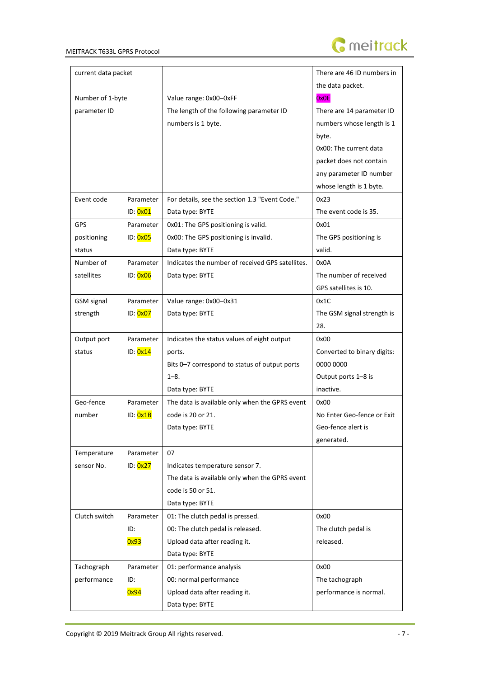

| current data packet |           |                                                  | There are 46 ID numbers in  |
|---------------------|-----------|--------------------------------------------------|-----------------------------|
|                     |           |                                                  | the data packet.            |
| Number of 1-byte    |           | Value range: 0x00-0xFF                           | 0x0E                        |
| parameter ID        |           | The length of the following parameter ID         | There are 14 parameter ID   |
|                     |           | numbers is 1 byte.                               | numbers whose length is 1   |
|                     |           |                                                  | byte.                       |
|                     |           |                                                  | 0x00: The current data      |
|                     |           |                                                  | packet does not contain     |
|                     |           |                                                  | any parameter ID number     |
|                     |           |                                                  | whose length is 1 byte.     |
| Event code          | Parameter | For details, see the section 1.3 "Event Code."   | 0x23                        |
|                     | ID: 0x01  | Data type: BYTE                                  | The event code is 35.       |
| <b>GPS</b>          | Parameter | 0x01: The GPS positioning is valid.              | 0x01                        |
| positioning         | ID: 0x05  | 0x00: The GPS positioning is invalid.            | The GPS positioning is      |
| status              |           | Data type: BYTE                                  | valid.                      |
| Number of           | Parameter | Indicates the number of received GPS satellites. | 0x0A                        |
| satellites          | ID: 0x06  | Data type: BYTE                                  | The number of received      |
|                     |           |                                                  | GPS satellites is 10.       |
| <b>GSM</b> signal   | Parameter | Value range: 0x00-0x31                           | 0x1C                        |
| strength            | ID: 0x07  | Data type: BYTE                                  | The GSM signal strength is  |
|                     |           |                                                  | 28.                         |
| Output port         | Parameter | Indicates the status values of eight output      | 0x00                        |
| status              | ID: 0x14  | ports.                                           | Converted to binary digits: |
|                     |           | Bits 0-7 correspond to status of output ports    | 0000 0000                   |
|                     |           | $1 - 8$ .                                        | Output ports 1-8 is         |
|                     |           | Data type: BYTE                                  | inactive.                   |
| Geo-fence           | Parameter | The data is available only when the GPRS event   | 0x00                        |
| number              | ID: 0x1B  | code is 20 or 21.                                | No Enter Geo-fence or Exit  |
|                     |           | Data type: BYTE                                  | Geo-fence alert is          |
|                     |           |                                                  | generated.                  |
| Temperature         | Parameter | 07                                               |                             |
| sensor No.          | ID: 0x27  | Indicates temperature sensor 7.                  |                             |
|                     |           | The data is available only when the GPRS event   |                             |
|                     |           | code is 50 or 51.                                |                             |
|                     |           | Data type: BYTE                                  |                             |
| Clutch switch       | Parameter | 01: The clutch pedal is pressed.                 | 0x00                        |
|                     | ID:       | 00: The clutch pedal is released.                | The clutch pedal is         |
|                     | 0x93      | Upload data after reading it.                    | released.                   |
|                     |           | Data type: BYTE                                  |                             |
| Tachograph          | Parameter | 01: performance analysis                         | 0x00                        |
| performance         | ID:       | 00: normal performance                           | The tachograph              |
|                     | 0x94      | Upload data after reading it.                    | performance is normal.      |
|                     |           | Data type: BYTE                                  |                             |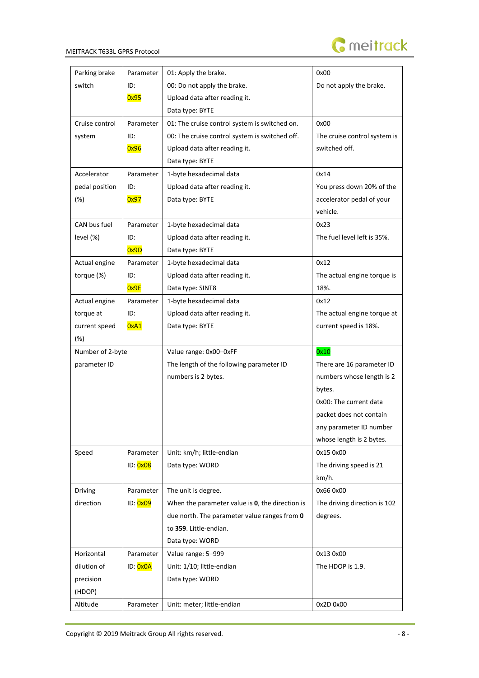

| Parking brake    | Parameter | 01: Apply the brake.                            | 0x00                         |
|------------------|-----------|-------------------------------------------------|------------------------------|
| switch           | ID:       | 00: Do not apply the brake.                     | Do not apply the brake.      |
|                  | 0x95      | Upload data after reading it.                   |                              |
|                  |           | Data type: BYTE                                 |                              |
| Cruise control   | Parameter | 01: The cruise control system is switched on.   | 0x00                         |
| system           | ID:       | 00: The cruise control system is switched off.  | The cruise control system is |
|                  | 0x96      | Upload data after reading it.                   | switched off.                |
|                  |           | Data type: BYTE                                 |                              |
| Accelerator      | Parameter | 1-byte hexadecimal data                         | 0x14                         |
| pedal position   | ID:       | Upload data after reading it.                   | You press down 20% of the    |
| $(\%)$           | 0x97      | Data type: BYTE                                 | accelerator pedal of your    |
|                  |           |                                                 | vehicle.                     |
| CAN bus fuel     | Parameter | 1-byte hexadecimal data                         | 0x23                         |
| level (%)        | ID:       | Upload data after reading it.                   | The fuel level left is 35%.  |
|                  | 0x9D      | Data type: BYTE                                 |                              |
| Actual engine    | Parameter | 1-byte hexadecimal data                         | 0x12                         |
| torque (%)       | ID:       | Upload data after reading it.                   | The actual engine torque is  |
|                  | 0x9E      | Data type: SINT8                                | 18%.                         |
| Actual engine    | Parameter | 1-byte hexadecimal data                         | 0x12                         |
| torque at        | ID:       | Upload data after reading it.                   | The actual engine torque at  |
| current speed    | 0xA1      | Data type: BYTE                                 | current speed is 18%.        |
| $(\%)$           |           |                                                 |                              |
| Number of 2-byte |           | Value range: 0x00-0xFF                          | 0x10                         |
| parameter ID     |           | The length of the following parameter ID        | There are 16 parameter ID    |
|                  |           | numbers is 2 bytes.                             | numbers whose length is 2    |
|                  |           |                                                 | bytes.                       |
|                  |           |                                                 | 0x00: The current data       |
|                  |           |                                                 | packet does not contain      |
|                  |           |                                                 | any parameter ID number      |
|                  |           |                                                 | whose length is 2 bytes.     |
| Speed            | Parameter | Unit: km/h; little-endian                       | 0x15 0x00                    |
|                  | ID: 0x08  | Data type: WORD                                 | The driving speed is 21      |
|                  |           |                                                 | km/h.                        |
| Driving          | Parameter | The unit is degree.                             | 0x66 0x00                    |
| direction        | ID: 0x09  | When the parameter value is 0, the direction is | The driving direction is 102 |
|                  |           | due north. The parameter value ranges from 0    | degrees.                     |
|                  |           | to 359. Little-endian.                          |                              |
|                  |           | Data type: WORD                                 |                              |
| Horizontal       | Parameter | Value range: 5-999                              | 0x13 0x00                    |
| dilution of      | ID: 0x0A  | Unit: 1/10; little-endian                       | The HDOP is 1.9.             |
| precision        |           | Data type: WORD                                 |                              |
| (HDOP)           |           |                                                 |                              |
| Altitude         | Parameter | Unit: meter; little-endian                      | 0x2D 0x00                    |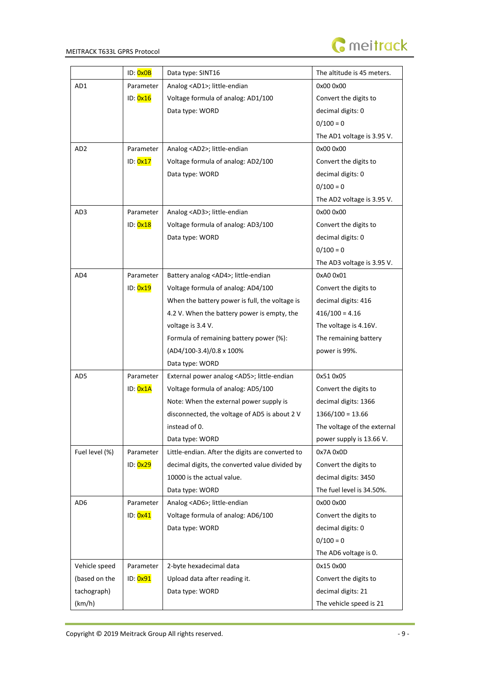

|                 | ID: 0x0B  | Data type: SINT16                                | The altitude is 45 meters.  |
|-----------------|-----------|--------------------------------------------------|-----------------------------|
| AD1             | Parameter | Analog <ad1>; little-endian</ad1>                | 0x00 0x00                   |
|                 | ID: 0x16  | Voltage formula of analog: AD1/100               | Convert the digits to       |
|                 |           | Data type: WORD                                  | decimal digits: 0           |
|                 |           |                                                  | $0/100 = 0$                 |
|                 |           |                                                  | The AD1 voltage is 3.95 V.  |
| AD <sub>2</sub> | Parameter | Analog <ad2>; little-endian</ad2>                | 0x00 0x00                   |
|                 | ID: 0x17  | Voltage formula of analog: AD2/100               | Convert the digits to       |
|                 |           | Data type: WORD                                  | decimal digits: 0           |
|                 |           |                                                  | $0/100 = 0$                 |
|                 |           |                                                  | The AD2 voltage is 3.95 V.  |
| AD3             | Parameter | Analog <ad3>; little-endian</ad3>                | 0x00 0x00                   |
|                 | ID: 0x18  | Voltage formula of analog: AD3/100               | Convert the digits to       |
|                 |           | Data type: WORD                                  | decimal digits: 0           |
|                 |           |                                                  | $0/100 = 0$                 |
|                 |           |                                                  | The AD3 voltage is 3.95 V.  |
| AD4             | Parameter | Battery analog <ad4>; little-endian</ad4>        | 0xA0 0x01                   |
|                 | ID: 0x19  | Voltage formula of analog: AD4/100               | Convert the digits to       |
|                 |           | When the battery power is full, the voltage is   | decimal digits: 416         |
|                 |           | 4.2 V. When the battery power is empty, the      | $416/100 = 4.16$            |
|                 |           | voltage is 3.4 V.                                | The voltage is 4.16V.       |
|                 |           | Formula of remaining battery power (%):          | The remaining battery       |
|                 |           | (AD4/100-3.4)/0.8 x 100%                         | power is 99%.               |
|                 |           | Data type: WORD                                  |                             |
| AD5             | Parameter | External power analog <ad5>; little-endian</ad5> | 0x51 0x05                   |
|                 | ID: 0x1A  | Voltage formula of analog: AD5/100               | Convert the digits to       |
|                 |           | Note: When the external power supply is          | decimal digits: 1366        |
|                 |           | disconnected, the voltage of AD5 is about 2 V    | $1366/100 = 13.66$          |
|                 |           | instead of 0.                                    | The voltage of the external |
|                 |           | Data type: WORD                                  | power supply is 13.66 V.    |
| Fuel level (%)  | Parameter | Little-endian. After the digits are converted to | 0x7A 0x0D                   |
|                 | ID: 0x29  | decimal digits, the converted value divided by   | Convert the digits to       |
|                 |           | 10000 is the actual value.                       | decimal digits: 3450        |
|                 |           | Data type: WORD                                  | The fuel level is 34.50%.   |
| AD <sub>6</sub> | Parameter | Analog <ad6>; little-endian</ad6>                | 0x00 0x00                   |
|                 | ID: 0x41  | Voltage formula of analog: AD6/100               | Convert the digits to       |
|                 |           | Data type: WORD                                  | decimal digits: 0           |
|                 |           |                                                  | $0/100 = 0$                 |
|                 |           |                                                  | The AD6 voltage is 0.       |
| Vehicle speed   | Parameter | 2-byte hexadecimal data                          | 0x15 0x00                   |
| (based on the   | ID: 0x91  | Upload data after reading it.                    | Convert the digits to       |
| tachograph)     |           | Data type: WORD                                  | decimal digits: 21          |
| (km/h)          |           |                                                  | The vehicle speed is 21     |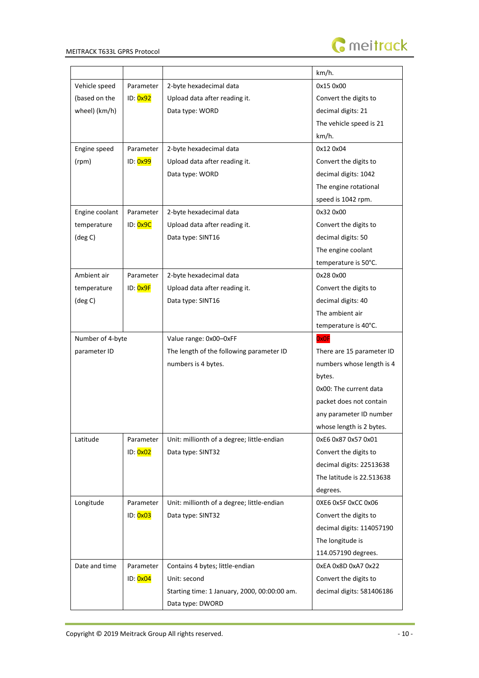

|                  |                       |                                              | km/h.                     |
|------------------|-----------------------|----------------------------------------------|---------------------------|
| Vehicle speed    | Parameter             | 2-byte hexadecimal data                      | 0x15 0x00                 |
| (based on the    | ID: 0x92              | Upload data after reading it.                | Convert the digits to     |
| wheel) (km/h)    |                       | Data type: WORD                              | decimal digits: 21        |
|                  |                       |                                              | The vehicle speed is 21   |
|                  |                       |                                              | km/h.                     |
| Engine speed     | Parameter             | 2-byte hexadecimal data                      | 0x12 0x04                 |
| (rpm)            | ID: 0x99              | Upload data after reading it.                | Convert the digits to     |
|                  |                       | Data type: WORD                              | decimal digits: 1042      |
|                  |                       |                                              | The engine rotational     |
|                  |                       |                                              | speed is 1042 rpm.        |
| Engine coolant   | Parameter             | 2-byte hexadecimal data                      | 0x32 0x00                 |
| temperature      | ID: 0x9C              | Upload data after reading it.                | Convert the digits to     |
| (deg C)          |                       | Data type: SINT16                            | decimal digits: 50        |
|                  |                       |                                              | The engine coolant        |
|                  |                       |                                              | temperature is 50°C.      |
| Ambient air      | Parameter             | 2-byte hexadecimal data                      | 0x28 0x00                 |
| temperature      | ID: <mark>0x9F</mark> | Upload data after reading it.                | Convert the digits to     |
| (deg C)          |                       | Data type: SINT16                            | decimal digits: 40        |
|                  |                       |                                              | The ambient air           |
|                  |                       |                                              | temperature is 40°C.      |
| Number of 4-byte |                       | Value range: 0x00-0xFF                       | <b>OxOF</b>               |
| parameter ID     |                       | The length of the following parameter ID     | There are 15 parameter ID |
|                  |                       | numbers is 4 bytes.                          | numbers whose length is 4 |
|                  |                       |                                              | bytes.                    |
|                  |                       |                                              | 0x00: The current data    |
|                  |                       |                                              | packet does not contain   |
|                  |                       |                                              | any parameter ID number   |
|                  |                       |                                              | whose length is 2 bytes.  |
| Latitude         | Parameter             | Unit: millionth of a degree; little-endian   | 0xE6 0x87 0x57 0x01       |
|                  | ID: 0x02              | Data type: SINT32                            | Convert the digits to     |
|                  |                       |                                              | decimal digits: 22513638  |
|                  |                       |                                              | The latitude is 22.513638 |
|                  |                       |                                              | degrees.                  |
| Longitude        | Parameter             | Unit: millionth of a degree; little-endian   | 0XE6 0x5F 0xCC 0x06       |
|                  | ID: 0x03              | Data type: SINT32                            | Convert the digits to     |
|                  |                       |                                              | decimal digits: 114057190 |
|                  |                       |                                              | The longitude is          |
|                  |                       |                                              | 114.057190 degrees.       |
| Date and time    | Parameter             | Contains 4 bytes; little-endian              | 0xEA 0x8D 0xA7 0x22       |
|                  | ID: 0x04              | Unit: second                                 | Convert the digits to     |
|                  |                       | Starting time: 1 January, 2000, 00:00:00 am. | decimal digits: 581406186 |
|                  |                       | Data type: DWORD                             |                           |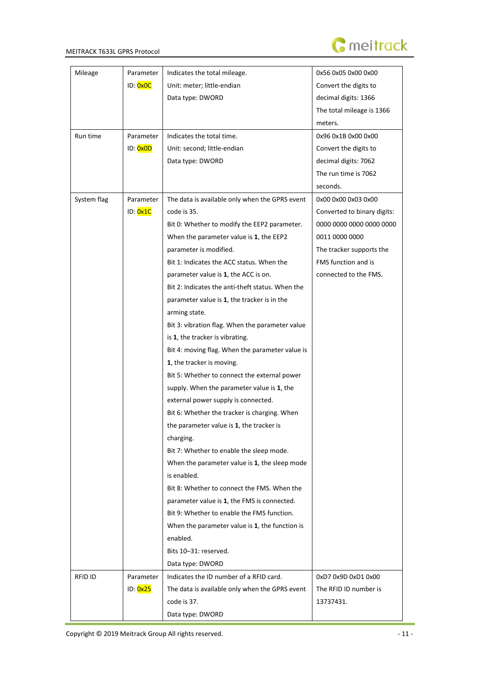

| Mileage     | Parameter | Indicates the total mileage.                     | 0x56 0x05 0x00 0x00         |
|-------------|-----------|--------------------------------------------------|-----------------------------|
|             | ID: 0x0C  | Unit: meter; little-endian                       | Convert the digits to       |
|             |           | Data type: DWORD                                 | decimal digits: 1366        |
|             |           |                                                  | The total mileage is 1366   |
|             |           |                                                  | meters.                     |
| Run time    | Parameter | Indicates the total time.                        | 0x96 0x1B 0x00 0x00         |
|             | ID: 0x0D  | Unit: second; little-endian                      | Convert the digits to       |
|             |           | Data type: DWORD                                 | decimal digits: 7062        |
|             |           |                                                  | The run time is 7062        |
|             |           |                                                  | seconds.                    |
| System flag | Parameter | The data is available only when the GPRS event   | 0x00 0x00 0x03 0x00         |
|             | ID: 0x1C  | code is 35.                                      | Converted to binary digits: |
|             |           | Bit 0: Whether to modify the EEP2 parameter.     | 0000 0000 0000 0000 0000    |
|             |           | When the parameter value is 1, the EEP2          | 0011 0000 0000              |
|             |           | parameter is modified.                           | The tracker supports the    |
|             |           | Bit 1: Indicates the ACC status. When the        | FMS function and is         |
|             |           | parameter value is 1, the ACC is on.             | connected to the FMS.       |
|             |           | Bit 2: Indicates the anti-theft status. When the |                             |
|             |           | parameter value is 1, the tracker is in the      |                             |
|             |           | arming state.                                    |                             |
|             |           | Bit 3: vibration flag. When the parameter value  |                             |
|             |           | is 1, the tracker is vibrating.                  |                             |
|             |           | Bit 4: moving flag. When the parameter value is  |                             |
|             |           | 1, the tracker is moving.                        |                             |
|             |           | Bit 5: Whether to connect the external power     |                             |
|             |           | supply. When the parameter value is 1, the       |                             |
|             |           | external power supply is connected.              |                             |
|             |           | Bit 6: Whether the tracker is charging. When     |                             |
|             |           | the parameter value is 1, the tracker is         |                             |
|             |           | charging.                                        |                             |
|             |           | Bit 7: Whether to enable the sleep mode.         |                             |
|             |           | When the parameter value is 1, the sleep mode    |                             |
|             |           | is enabled.                                      |                             |
|             |           | Bit 8: Whether to connect the FMS. When the      |                             |
|             |           | parameter value is 1, the FMS is connected.      |                             |
|             |           | Bit 9: Whether to enable the FMS function.       |                             |
|             |           | When the parameter value is 1, the function is   |                             |
|             |           | enabled.                                         |                             |
|             |           | Bits 10-31: reserved.                            |                             |
|             |           | Data type: DWORD                                 |                             |
| RFID ID     | Parameter | Indicates the ID number of a RFID card.          | 0xD7 0x9D 0xD1 0x00         |
|             | ID: 0x25  | The data is available only when the GPRS event   | The RFID ID number is       |
|             |           | code is 37.                                      | 13737431.                   |
|             |           | Data type: DWORD                                 |                             |

i.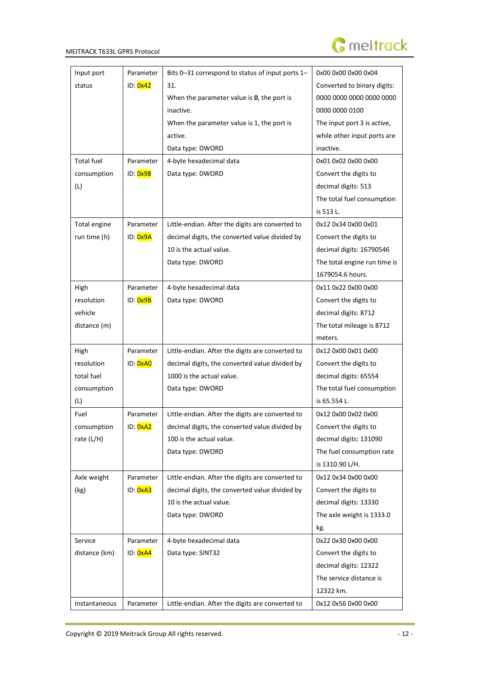

| Input port        | Parameter | Bits 0-31 correspond to status of input ports 1- | 0x00 0x00 0x00 0x04          |
|-------------------|-----------|--------------------------------------------------|------------------------------|
| status            | ID: 0x42  | 31.                                              | Converted to binary digits:  |
|                   |           | When the parameter value is 0, the port is       | 0000 0000 0000 0000 0000     |
|                   |           | inactive.                                        | 0000 0000 0100               |
|                   |           | When the parameter value is 1, the port is       | The input port 3 is active,  |
|                   |           | active.                                          | while other input ports are  |
|                   |           | Data type: DWORD                                 | inactive.                    |
| <b>Total fuel</b> | Parameter | 4-byte hexadecimal data                          | 0x01 0x02 0x00 0x00          |
| consumption       | ID: 0x98  | Data type: DWORD                                 | Convert the digits to        |
| (L)               |           |                                                  | decimal digits: 513          |
|                   |           |                                                  | The total fuel consumption   |
|                   |           |                                                  | is 513 L.                    |
| Total engine      | Parameter | Little-endian. After the digits are converted to | 0x12 0x34 0x00 0x01          |
| run time (h)      | ID: 0x9A  | decimal digits, the converted value divided by   | Convert the digits to        |
|                   |           | 10 is the actual value.                          | decimal digits: 16790546     |
|                   |           | Data type: DWORD                                 | The total engine run time is |
|                   |           |                                                  | 1679054.6 hours.             |
| High              | Parameter | 4-byte hexadecimal data                          | 0x11 0x22 0x00 0x00          |
| resolution        | ID: 0x9B  | Data type: DWORD                                 | Convert the digits to        |
| vehicle           |           |                                                  | decimal digits: 8712         |
| distance (m)      |           |                                                  | The total mileage is 8712    |
|                   |           |                                                  | meters.                      |
| High              | Parameter | Little-endian. After the digits are converted to | 0x12 0x00 0x01 0x00          |
| resolution        | ID: 0xA0  | decimal digits, the converted value divided by   | Convert the digits to        |
| total fuel        |           | 1000 is the actual value.                        | decimal digits: 65554        |
| consumption       |           | Data type: DWORD                                 | The total fuel consumption   |
| (L)               |           |                                                  | is 65.554 L.                 |
| Fuel              | Parameter | Little-endian. After the digits are converted to | 0x12 0x00 0x02 0x00          |
| consumption       | ID: 0xA2  | decimal digits, the converted value divided by   | Convert the digits to        |
| rate $(L/H)$      |           | 100 is the actual value.                         | decimal digits: 131090       |
|                   |           | Data type: DWORD                                 | The fuel consumption rate    |
|                   |           |                                                  | is 1310.90 L/H.              |
| Axle weight       | Parameter | Little-endian. After the digits are converted to | 0x12 0x34 0x00 0x00          |
| (kg)              | ID: 0xA3  | decimal digits, the converted value divided by   | Convert the digits to        |
|                   |           | 10 is the actual value.                          | decimal digits: 13330        |
|                   |           | Data type: DWORD                                 | The axle weight is 1333.0    |
|                   |           |                                                  | kg.                          |
| Service           | Parameter | 4-byte hexadecimal data                          | 0x22 0x30 0x00 0x00          |
| distance (km)     | ID: 0xA4  | Data type: SINT32                                | Convert the digits to        |
|                   |           |                                                  | decimal digits: 12322        |
|                   |           |                                                  | The service distance is      |
|                   |           |                                                  | 12322 km.                    |
| Instantaneous     | Parameter | Little-endian. After the digits are converted to | 0x12 0x56 0x00 0x00          |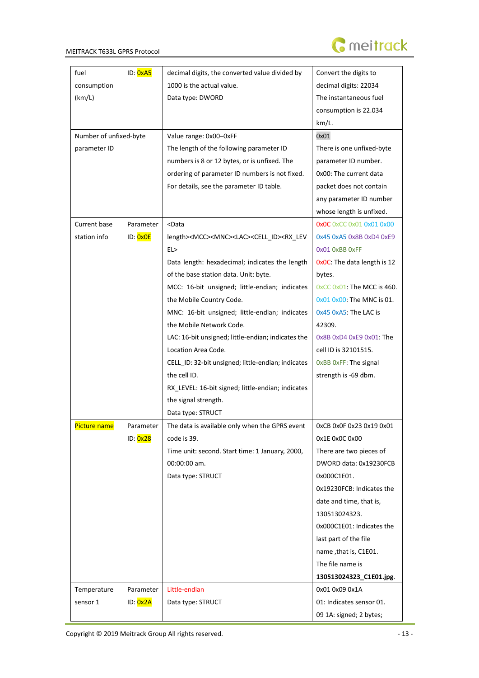

| fuel                   | ID: 0xA5  | decimal digits, the converted value divided by                                                                       | Convert the digits to           |
|------------------------|-----------|----------------------------------------------------------------------------------------------------------------------|---------------------------------|
| consumption            |           | 1000 is the actual value.                                                                                            | decimal digits: 22034           |
| (km/L)                 |           | Data type: DWORD                                                                                                     | The instantaneous fuel          |
|                        |           |                                                                                                                      | consumption is 22.034           |
|                        |           |                                                                                                                      | km/L.                           |
| Number of unfixed-byte |           | Value range: 0x00-0xFF                                                                                               | 0x01                            |
| parameter ID           |           | The length of the following parameter ID                                                                             | There is one unfixed-byte       |
|                        |           | numbers is 8 or 12 bytes, or is unfixed. The                                                                         | parameter ID number.            |
|                        |           | ordering of parameter ID numbers is not fixed.                                                                       | 0x00: The current data          |
|                        |           | For details, see the parameter ID table.                                                                             | packet does not contain         |
|                        |           |                                                                                                                      | any parameter ID number         |
|                        |           |                                                                                                                      | whose length is unfixed.        |
| Current base           | Parameter | <data< td=""><td><b>OxOC</b> OxCC 0x01 0x01 0x00</td></data<>                                                        | <b>OxOC</b> OxCC 0x01 0x01 0x00 |
| station info           | ID: 0x0E  | length> <mcc><mnc><lac><cell id=""><rx lev<="" td=""><td>0x45 0xA5 0x8B 0xD4 0xE9</td></rx></cell></lac></mnc></mcc> | 0x45 0xA5 0x8B 0xD4 0xE9        |
|                        |           | EL>                                                                                                                  | OxO1 OxBB OxFF                  |
|                        |           | Data length: hexadecimal; indicates the length                                                                       | OxOC: The data length is 12     |
|                        |           | of the base station data. Unit: byte.                                                                                | bytes.                          |
|                        |           | MCC: 16-bit unsigned; little-endian; indicates                                                                       | 0xCC 0x01: The MCC is 460.      |
|                        |           | the Mobile Country Code.                                                                                             | 0x01 0x00: The MNC is 01.       |
|                        |           | MNC: 16-bit unsigned; little-endian; indicates                                                                       | 0x45 0xA5: The LAC is           |
|                        |           | the Mobile Network Code.                                                                                             | 42309.                          |
|                        |           | LAC: 16-bit unsigned; little-endian; indicates the                                                                   | 0x8B 0xD4 0xE9 0x01: The        |
|                        |           | Location Area Code.                                                                                                  | cell ID is 32101515.            |
|                        |           | CELL_ID: 32-bit unsigned; little-endian; indicates                                                                   | OxBB OxFF: The signal           |
|                        |           | the cell ID.                                                                                                         | strength is -69 dbm.            |
|                        |           | RX_LEVEL: 16-bit signed; little-endian; indicates                                                                    |                                 |
|                        |           | the signal strength.                                                                                                 |                                 |
|                        |           | Data type: STRUCT                                                                                                    |                                 |
| Picture name           | Parameter | The data is available only when the GPRS event                                                                       | 0xCB 0x0F 0x23 0x19 0x01        |
|                        | ID: 0x28  | code is 39.                                                                                                          | 0x1E 0x0C 0x00                  |
|                        |           | Time unit: second. Start time: 1 January, 2000,                                                                      | There are two pieces of         |
|                        |           | 00:00:00 am.                                                                                                         | DWORD data: 0x19230FCB          |
|                        |           | Data type: STRUCT                                                                                                    | 0x000C1E01.                     |
|                        |           |                                                                                                                      | 0x19230FCB: Indicates the       |
|                        |           |                                                                                                                      | date and time, that is,         |
|                        |           |                                                                                                                      | 130513024323.                   |
|                        |           |                                                                                                                      | 0x000C1E01: Indicates the       |
|                        |           |                                                                                                                      | last part of the file           |
|                        |           |                                                                                                                      | name, that is, C1E01.           |
|                        |           |                                                                                                                      | The file name is                |
|                        |           |                                                                                                                      | 130513024323_C1E01.jpg.         |
| Temperature            | Parameter | Little-endian                                                                                                        | 0x01 0x09 0x1A                  |
| sensor 1               | ID: 0x2A  | Data type: STRUCT                                                                                                    | 01: Indicates sensor 01.        |
|                        |           |                                                                                                                      | 09 1A: signed; 2 bytes;         |

L.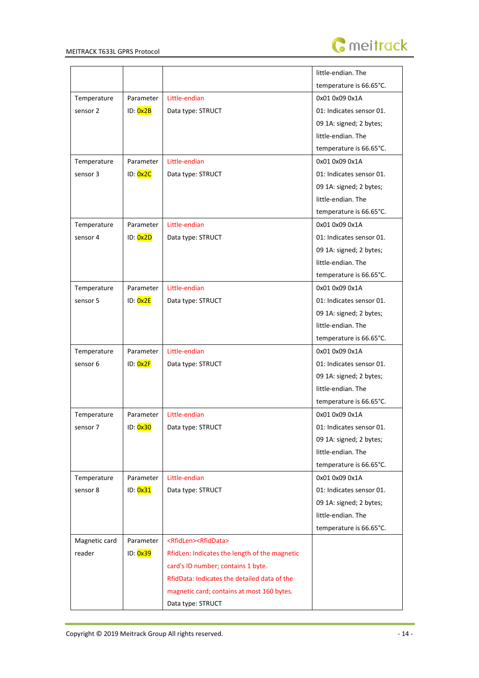

|               |           |                                               | little-endian. The       |
|---------------|-----------|-----------------------------------------------|--------------------------|
|               |           |                                               | temperature is 66.65°C.  |
| Temperature   | Parameter | Little-endian                                 | 0x01 0x09 0x1A           |
| sensor 2      | ID: 0x2B  | Data type: STRUCT                             | 01: Indicates sensor 01. |
|               |           |                                               | 09 1A: signed; 2 bytes;  |
|               |           |                                               | little-endian. The       |
|               |           |                                               | temperature is 66.65°C.  |
| Temperature   | Parameter | Little-endian                                 | 0x01 0x09 0x1A           |
| sensor 3      | ID: 0x2C  | Data type: STRUCT                             | 01: Indicates sensor 01. |
|               |           |                                               | 09 1A: signed; 2 bytes;  |
|               |           |                                               | little-endian. The       |
|               |           |                                               | temperature is 66.65°C.  |
| Temperature   | Parameter | Little-endian                                 | 0x01 0x09 0x1A           |
| sensor 4      | ID: 0x2D  | Data type: STRUCT                             | 01: Indicates sensor 01. |
|               |           |                                               | 09 1A: signed; 2 bytes;  |
|               |           |                                               | little-endian. The       |
|               |           |                                               | temperature is 66.65°C.  |
| Temperature   | Parameter | Little-endian                                 | 0x01 0x09 0x1A           |
| sensor 5      | ID: 0x2E  | Data type: STRUCT                             | 01: Indicates sensor 01. |
|               |           |                                               | 09 1A: signed; 2 bytes;  |
|               |           |                                               | little-endian. The       |
|               |           |                                               | temperature is 66.65°C.  |
| Temperature   | Parameter | Little-endian                                 | 0x01 0x09 0x1A           |
| sensor 6      | ID: 0x2F  | Data type: STRUCT                             | 01: Indicates sensor 01. |
|               |           |                                               | 09 1A: signed; 2 bytes;  |
|               |           |                                               | little-endian. The       |
|               |           |                                               | temperature is 66.65°C.  |
| Temperature   | Parameter | Little-endian                                 | 0x01 0x09 0x1A           |
| sensor 7      | ID: 0x30  | Data type: STRUCT                             | 01: Indicates sensor 01. |
|               |           |                                               | 09 1A: signed; 2 bytes;  |
|               |           |                                               | little-endian. The       |
|               |           |                                               | temperature is 66.65°C.  |
| Temperature   | Parameter | Little-endian                                 | 0x01 0x09 0x1A           |
| sensor 8      | ID: 0x31  | Data type: STRUCT                             | 01: Indicates sensor 01. |
|               |           |                                               | 09 1A: signed; 2 bytes;  |
|               |           |                                               | little-endian. The       |
|               |           |                                               | temperature is 66.65°C.  |
| Magnetic card | Parameter | <rfidlen><rfiddata></rfiddata></rfidlen>      |                          |
| reader        | ID: 0x39  | RfidLen: Indicates the length of the magnetic |                          |
|               |           | card's ID number; contains 1 byte.            |                          |
|               |           | RfidData: Indicates the detailed data of the  |                          |
|               |           | magnetic card; contains at most 160 bytes.    |                          |
|               |           | Data type: STRUCT                             |                          |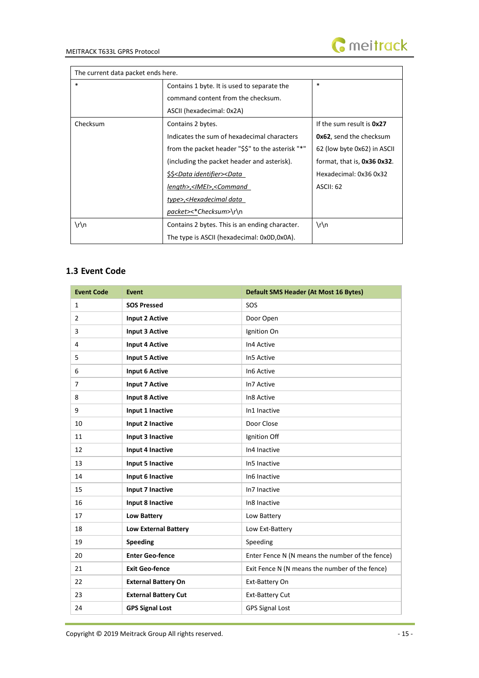

 $\overline{\phantom{a}}$ 

The current data packet ends here.

| THE CUTTER GUID DUCKER CHUS HETC. |                                                                                      |                                 |  |
|-----------------------------------|--------------------------------------------------------------------------------------|---------------------------------|--|
| $\ast$                            | Contains 1 byte. It is used to separate the                                          | $\ast$                          |  |
|                                   | command content from the checksum.                                                   |                                 |  |
|                                   | ASCII (hexadecimal: 0x2A)                                                            |                                 |  |
| Checksum                          | Contains 2 bytes.                                                                    | If the sum result is 0x27       |  |
|                                   | Indicates the sum of hexadecimal characters                                          | <b>0x62</b> , send the checksum |  |
|                                   | from the packet header "\$\$" to the asterisk "*"                                    | 62 (low byte 0x62) in ASCII     |  |
|                                   | (including the packet header and asterisk).                                          | format, that is, 0x36 0x32.     |  |
|                                   | \$\$ <data identifier=""><data< td=""><td>Hexadecimal: 0x36 0x32</td></data<></data> | Hexadecimal: 0x36 0x32          |  |
|                                   | length>, <imei>,<command< td=""><td>ASCII: 62</td></command<></imei>                 | ASCII: 62                       |  |
|                                   | type>, <hexadecimal data<="" td=""><td></td></hexadecimal>                           |                                 |  |
|                                   | packet><*Checksum>\r\n                                                               |                                 |  |
| $\ln$                             | Contains 2 bytes. This is an ending character.                                       | $\ln$                           |  |
|                                   | The type is ASCII (hexadecimal: 0x0D,0x0A).                                          |                                 |  |

# <span id="page-14-0"></span>**1.3 Event Code**

| <b>Event Code</b> | <b>Event</b>                | <b>Default SMS Header (At Most 16 Bytes)</b>    |
|-------------------|-----------------------------|-------------------------------------------------|
| 1                 | <b>SOS Pressed</b>          | SOS                                             |
| $\overline{2}$    | <b>Input 2 Active</b>       | Door Open                                       |
| 3                 | <b>Input 3 Active</b>       | Ignition On                                     |
| 4                 | <b>Input 4 Active</b>       | In4 Active                                      |
| 5                 | <b>Input 5 Active</b>       | In5 Active                                      |
| 6                 | Input 6 Active              | In6 Active                                      |
| $\overline{7}$    | <b>Input 7 Active</b>       | In7 Active                                      |
| 8                 | <b>Input 8 Active</b>       | In8 Active                                      |
| 9                 | Input 1 Inactive            | In1 Inactive                                    |
| 10                | Input 2 Inactive            | Door Close                                      |
| 11                | Input 3 Inactive            | Ignition Off                                    |
| 12                | Input 4 Inactive            | In4 Inactive                                    |
| 13                | Input 5 Inactive            | In5 Inactive                                    |
| 14                | Input 6 Inactive            | In6 Inactive                                    |
| 15                | Input 7 Inactive            | In7 Inactive                                    |
| 16                | Input 8 Inactive            | In8 Inactive                                    |
| 17                | <b>Low Battery</b>          | Low Battery                                     |
| 18                | <b>Low External Battery</b> | Low Ext-Battery                                 |
| 19                | <b>Speeding</b>             | Speeding                                        |
| 20                | <b>Enter Geo-fence</b>      | Enter Fence N (N means the number of the fence) |
| 21                | <b>Exit Geo-fence</b>       | Exit Fence N (N means the number of the fence)  |
| 22                | <b>External Battery On</b>  | Ext-Battery On                                  |
| 23                | <b>External Battery Cut</b> | <b>Ext-Battery Cut</b>                          |
| 24                | <b>GPS Signal Lost</b>      | <b>GPS Signal Lost</b>                          |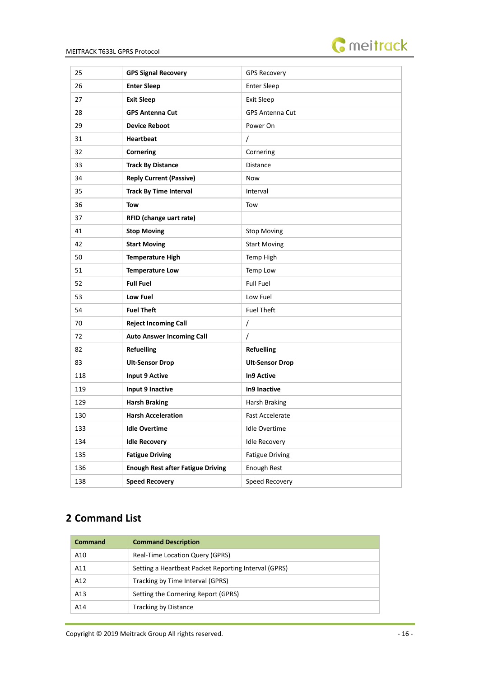

| 25  | <b>GPS Signal Recovery</b>               | <b>GPS Recovery</b>    |
|-----|------------------------------------------|------------------------|
| 26  | <b>Enter Sleep</b>                       | <b>Enter Sleep</b>     |
| 27  | <b>Exit Sleep</b>                        | <b>Exit Sleep</b>      |
| 28  | <b>GPS Antenna Cut</b>                   | <b>GPS Antenna Cut</b> |
| 29  | <b>Device Reboot</b>                     | Power On               |
| 31  | <b>Heartbeat</b>                         | $\prime$               |
| 32  | Cornering                                | Cornering              |
| 33  | <b>Track By Distance</b>                 | Distance               |
| 34  | <b>Reply Current (Passive)</b>           | Now                    |
| 35  | <b>Track By Time Interval</b>            | Interval               |
| 36  | Tow                                      | Tow                    |
| 37  | RFID (change uart rate)                  |                        |
| 41  | <b>Stop Moving</b>                       | <b>Stop Moving</b>     |
| 42  | <b>Start Moving</b>                      | <b>Start Moving</b>    |
| 50  | <b>Temperature High</b>                  | Temp High              |
| 51  | <b>Temperature Low</b>                   | Temp Low               |
| 52  | <b>Full Fuel</b>                         | <b>Full Fuel</b>       |
| 53  | Low Fuel                                 | Low Fuel               |
| 54  | <b>Fuel Theft</b>                        | <b>Fuel Theft</b>      |
| 70  | <b>Reject Incoming Call</b>              | $\overline{1}$         |
| 72  | <b>Auto Answer Incoming Call</b>         | T                      |
| 82  | <b>Refuelling</b>                        | <b>Refuelling</b>      |
| 83  | <b>Ult-Sensor Drop</b>                   | <b>Ult-Sensor Drop</b> |
| 118 | Input 9 Active                           | <b>In9 Active</b>      |
| 119 | Input 9 Inactive                         | In9 Inactive           |
| 129 | <b>Harsh Braking</b>                     | Harsh Braking          |
| 130 | <b>Harsh Acceleration</b>                | <b>Fast Accelerate</b> |
| 133 | <b>Idle Overtime</b>                     | <b>Idle Overtime</b>   |
| 134 | <b>Idle Recovery</b>                     | <b>Idle Recovery</b>   |
| 135 | <b>Fatigue Driving</b>                   | <b>Fatigue Driving</b> |
| 136 | <b>Enough Rest after Fatigue Driving</b> | Enough Rest            |
| 138 | <b>Speed Recovery</b>                    | Speed Recovery         |

# <span id="page-15-0"></span>**Command List**

| Command | <b>Command Description</b>                           |
|---------|------------------------------------------------------|
| A10     | <b>Real-Time Location Query (GPRS)</b>               |
| A11     | Setting a Heartbeat Packet Reporting Interval (GPRS) |
| A12     | Tracking by Time Interval (GPRS)                     |
| A13     | Setting the Cornering Report (GPRS)                  |
| A14     | Tracking by Distance                                 |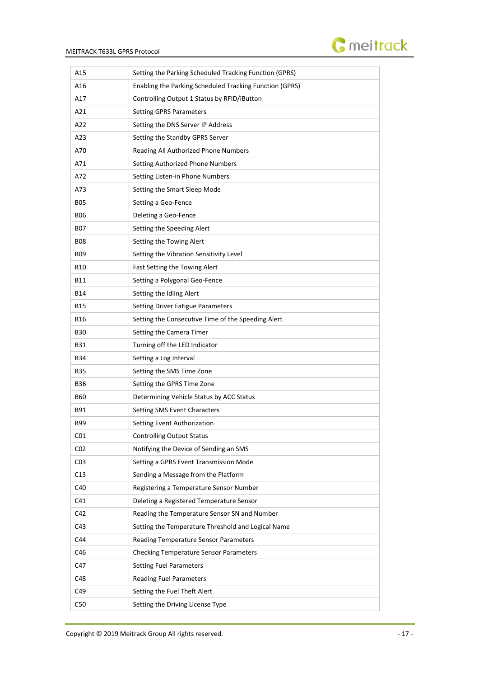

| A15             | Setting the Parking Scheduled Tracking Function (GPRS)  |
|-----------------|---------------------------------------------------------|
| A16             | Enabling the Parking Scheduled Tracking Function (GPRS) |
| A17             | Controlling Output 1 Status by RFID/iButton             |
| A21             | <b>Setting GPRS Parameters</b>                          |
| A22             | Setting the DNS Server IP Address                       |
| A23             | Setting the Standby GPRS Server                         |
| A70             | Reading All Authorized Phone Numbers                    |
| A71             | Setting Authorized Phone Numbers                        |
| A72             | Setting Listen-in Phone Numbers                         |
| A73             | Setting the Smart Sleep Mode                            |
| <b>B05</b>      | Setting a Geo-Fence                                     |
| <b>BO6</b>      | Deleting a Geo-Fence                                    |
| B07             | Setting the Speeding Alert                              |
| <b>B08</b>      | Setting the Towing Alert                                |
| <b>BO9</b>      | Setting the Vibration Sensitivity Level                 |
| <b>B10</b>      | Fast Setting the Towing Alert                           |
| B11             | Setting a Polygonal Geo-Fence                           |
| B14             | Setting the Idling Alert                                |
| <b>B15</b>      | <b>Setting Driver Fatigue Parameters</b>                |
| <b>B16</b>      | Setting the Consecutive Time of the Speeding Alert      |
| B30             | Setting the Camera Timer                                |
| <b>B31</b>      | Turning off the LED Indicator                           |
| <b>B34</b>      | Setting a Log Interval                                  |
| B35             | Setting the SMS Time Zone                               |
| B36             | Setting the GPRS Time Zone                              |
| <b>B60</b>      | Determining Vehicle Status by ACC Status                |
| B91             | Setting SMS Event Characters                            |
| B99             | Setting Event Authorization                             |
| CO1             | <b>Controlling Output Status</b>                        |
| CO <sub>2</sub> | Notifying the Device of Sending an SMS                  |
| CO <sub>3</sub> | Setting a GPRS Event Transmission Mode                  |
| C13             | Sending a Message from the Platform                     |
| C40             | Registering a Temperature Sensor Number                 |
| C41             | Deleting a Registered Temperature Sensor                |
| C42             | Reading the Temperature Sensor SN and Number            |
| C43             | Setting the Temperature Threshold and Logical Name      |
| C44             | Reading Temperature Sensor Parameters                   |
| C46             | <b>Checking Temperature Sensor Parameters</b>           |
| C47             | <b>Setting Fuel Parameters</b>                          |
| C48             | <b>Reading Fuel Parameters</b>                          |
| C49             | Setting the Fuel Theft Alert                            |
| C50             | Setting the Driving License Type                        |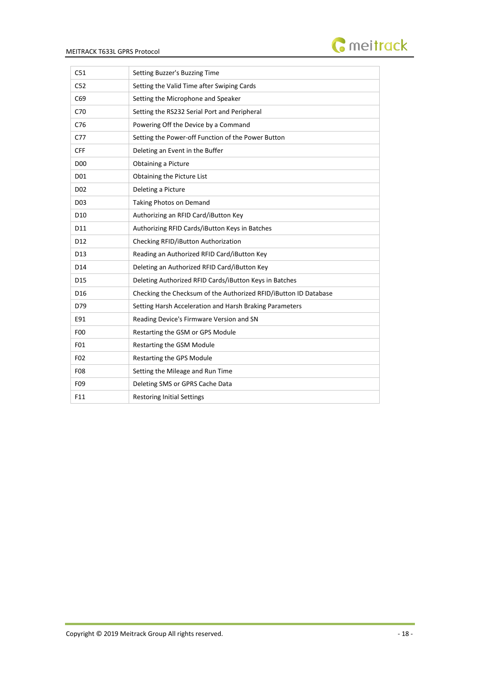



| C51             | Setting Buzzer's Buzzing Time                                    |
|-----------------|------------------------------------------------------------------|
| C52             | Setting the Valid Time after Swiping Cards                       |
| C69             | Setting the Microphone and Speaker                               |
| C70             | Setting the RS232 Serial Port and Peripheral                     |
| C76             | Powering Off the Device by a Command                             |
| C77             | Setting the Power-off Function of the Power Button               |
| <b>CFF</b>      | Deleting an Event in the Buffer                                  |
| D <sub>0</sub>  | Obtaining a Picture                                              |
| D01             | Obtaining the Picture List                                       |
| D <sub>02</sub> | Deleting a Picture                                               |
| D <sub>03</sub> | Taking Photos on Demand                                          |
| D <sub>10</sub> | Authorizing an RFID Card/iButton Key                             |
| D11             | Authorizing RFID Cards/iButton Keys in Batches                   |
| D <sub>12</sub> | Checking RFID/iButton Authorization                              |
| D13             | Reading an Authorized RFID Card/iButton Key                      |
| D14             | Deleting an Authorized RFID Card/iButton Key                     |
| D15             | Deleting Authorized RFID Cards/iButton Keys in Batches           |
| D <sub>16</sub> | Checking the Checksum of the Authorized RFID/iButton ID Database |
| D79             | Setting Harsh Acceleration and Harsh Braking Parameters          |
| E91             | Reading Device's Firmware Version and SN                         |
| F <sub>0</sub>  | Restarting the GSM or GPS Module                                 |
| F01             | Restarting the GSM Module                                        |
| F02             | Restarting the GPS Module                                        |
| F08             | Setting the Mileage and Run Time                                 |
| F09             | Deleting SMS or GPRS Cache Data                                  |
| F11             | <b>Restoring Initial Settings</b>                                |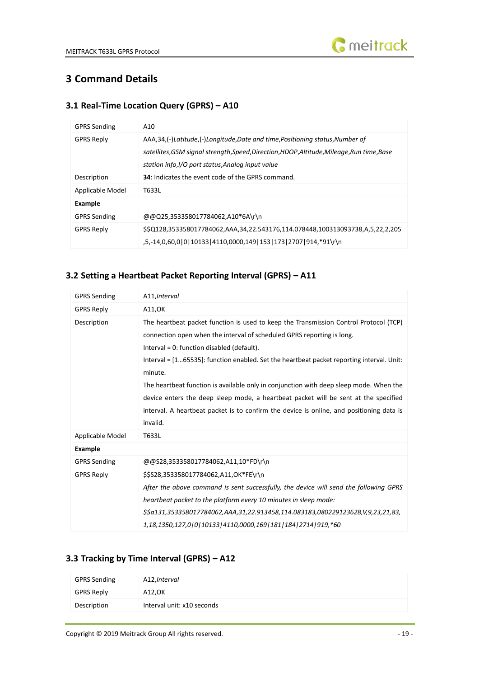

# <span id="page-18-0"></span>**3 Command Details**

# <span id="page-18-1"></span>**3.1 Real-Time Location Query (GPRS) – A10**

| <b>GPRS Sending</b> | A10                                                                                                                                                                                                                           |
|---------------------|-------------------------------------------------------------------------------------------------------------------------------------------------------------------------------------------------------------------------------|
| <b>GPRS Reply</b>   | AAA,34,(-)Latitude,(-)Longitude,Date and time,Positioning status,Number of<br>satellites, GSM signal strength, Speed, Direction, HDOP, Altitude, Mileage, Run time, Base<br>station info, I/O port status, Analog input value |
| Description         | <b>34</b> : Indicates the event code of the GPRS command.                                                                                                                                                                     |
| Applicable Model    | T633L                                                                                                                                                                                                                         |
| Example             |                                                                                                                                                                                                                               |
| <b>GPRS Sending</b> | @@Q25,353358017784062,A10*6A\r\n                                                                                                                                                                                              |
| <b>GPRS Reply</b>   | \$\$Q128,353358017784062,AAA,34,22.543176,114.078448,100313093738,A,5,22,2,205<br>,5,-14,0,60,0 0 10133 4110,0000,149 153 173 2707 914,*91\r\n                                                                                |

# <span id="page-18-2"></span>**3.2 Setting a Heartbeat Packet Reporting Interval (GPRS) – A11**

| <b>GPRS Sending</b> | A11, Interval                                                                                                                                                                                                                                                                                                                                                                                                                                                                                                                                                                                                       |
|---------------------|---------------------------------------------------------------------------------------------------------------------------------------------------------------------------------------------------------------------------------------------------------------------------------------------------------------------------------------------------------------------------------------------------------------------------------------------------------------------------------------------------------------------------------------------------------------------------------------------------------------------|
| <b>GPRS Reply</b>   | A11, OK                                                                                                                                                                                                                                                                                                                                                                                                                                                                                                                                                                                                             |
| Description         | The heartbeat packet function is used to keep the Transmission Control Protocol (TCP)<br>connection open when the interval of scheduled GPRS reporting is long.<br>Interval = 0: function disabled (default).<br>Interval $=$ $[165535]$ : function enabled. Set the heartbeat packet reporting interval. Unit:<br>minute.<br>The heartbeat function is available only in conjunction with deep sleep mode. When the<br>device enters the deep sleep mode, a heartbeat packet will be sent at the specified<br>interval. A heartbeat packet is to confirm the device is online, and positioning data is<br>invalid. |
| Applicable Model    | T633L                                                                                                                                                                                                                                                                                                                                                                                                                                                                                                                                                                                                               |
| <b>Example</b>      |                                                                                                                                                                                                                                                                                                                                                                                                                                                                                                                                                                                                                     |
| <b>GPRS Sending</b> | @@S28,353358017784062,A11,10*FD\r\n                                                                                                                                                                                                                                                                                                                                                                                                                                                                                                                                                                                 |
| <b>GPRS Reply</b>   | \$\$S28,353358017784062,A11,OK*FE\r\n<br>After the above command is sent successfully, the device will send the following GPRS<br>heartbeat packet to the platform every 10 minutes in sleep mode:<br>\$\$a131,353358017784062,AAA,31,22.913458,114.083183,080229123628,V,9,23,21,83,<br>1,18,1350,127,0 0 10133 4110,0000,169 181 184 2714 919,*60                                                                                                                                                                                                                                                                 |

## <span id="page-18-3"></span>**3.3 Tracking by Time Interval (GPRS) – A12**

| <b>GPRS Sending</b> | A12, Interval              |
|---------------------|----------------------------|
| <b>GPRS Reply</b>   | A12,OK                     |
| Description         | Interval unit: x10 seconds |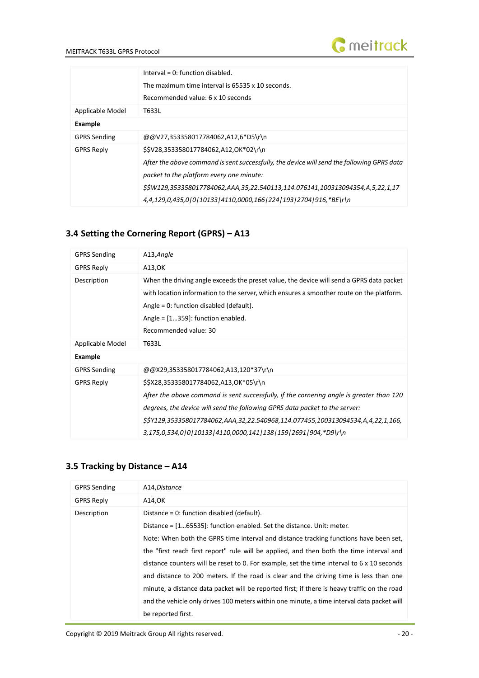

|                     | Interval = $0$ : function disabled.<br>The maximum time interval is 65535 x 10 seconds.<br>Recommended value: 6 x 10 seconds                                                                                                                                                                                                       |
|---------------------|------------------------------------------------------------------------------------------------------------------------------------------------------------------------------------------------------------------------------------------------------------------------------------------------------------------------------------|
| Applicable Model    | T633L                                                                                                                                                                                                                                                                                                                              |
| Example             |                                                                                                                                                                                                                                                                                                                                    |
| <b>GPRS Sending</b> | @@V27,353358017784062,A12,6*D5\r\n                                                                                                                                                                                                                                                                                                 |
| <b>GPRS Reply</b>   | \$\$V28,353358017784062,A12,OK*02\r\n<br>After the above command is sent successfully, the device will send the following GPRS data<br>packet to the platform every one minute:<br>\$\$W129,353358017784062,AAA,35,22.540113,114.076141,100313094354,A,5,22,1,17<br>4,4,129,0,435,0 0 10133 4110,0000,166 224 193 2704 916,*BE\r\n |

## <span id="page-19-0"></span>**3.4 Setting the Cornering Report (GPRS) – A13**

| <b>GPRS Sending</b> | A13, Angle                                                                                                                                                                                                                                                                                                                                                             |
|---------------------|------------------------------------------------------------------------------------------------------------------------------------------------------------------------------------------------------------------------------------------------------------------------------------------------------------------------------------------------------------------------|
| <b>GPRS Reply</b>   | A13, OK                                                                                                                                                                                                                                                                                                                                                                |
| Description         | When the driving angle exceeds the preset value, the device will send a GPRS data packet<br>with location information to the server, which ensures a smoother route on the platform.<br>Angle = $0$ : function disabled (default).<br>Angle = $[1359]$ : function enabled.<br>Recommended value: 30                                                                    |
| Applicable Model    | T633L                                                                                                                                                                                                                                                                                                                                                                  |
| Example             |                                                                                                                                                                                                                                                                                                                                                                        |
| <b>GPRS Sending</b> | @@X29,353358017784062,A13,120*37\r\n                                                                                                                                                                                                                                                                                                                                   |
| <b>GPRS Reply</b>   | \$\$X28,353358017784062,A13,OK*05\r\n<br>After the above command is sent successfully, if the cornering angle is greater than 120<br>degrees, the device will send the following GPRS data packet to the server:<br>\$\$Y129,353358017784062,AAA,32,22.540968,114.077455,100313094534,A,4,22,1,166,<br>$3,175,0,534,0 0 10133 4110,0000,141 138 159 2691 904,*D9\$ r\n |

# <span id="page-19-1"></span>**3.5 Tracking by Distance – A14**

| <b>GPRS Sending</b> | A14, Distance                                                                                |
|---------------------|----------------------------------------------------------------------------------------------|
| <b>GPRS Reply</b>   | A14,OK                                                                                       |
| Description         | Distance = 0: function disabled (default).                                                   |
|                     | Distance = [165535]: function enabled. Set the distance. Unit: meter.                        |
|                     | Note: When both the GPRS time interval and distance tracking functions have been set,        |
|                     | the "first reach first report" rule will be applied, and then both the time interval and     |
|                     | distance counters will be reset to 0. For example, set the time interval to 6 x 10 seconds   |
|                     | and distance to 200 meters. If the road is clear and the driving time is less than one       |
|                     | minute, a distance data packet will be reported first; if there is heavy traffic on the road |
|                     | and the vehicle only drives 100 meters within one minute, a time interval data packet will   |
|                     | be reported first.                                                                           |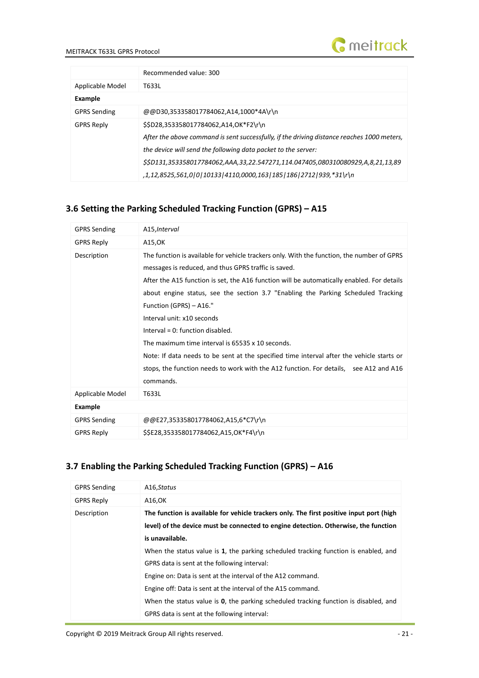



|                     | Recommended value: 300                                                                     |
|---------------------|--------------------------------------------------------------------------------------------|
| Applicable Model    | T633L                                                                                      |
| Example             |                                                                                            |
| <b>GPRS Sending</b> | @@D30,353358017784062,A14,1000*4A\r\n                                                      |
| <b>GPRS Reply</b>   | \$\$D28,353358017784062,A14,OK*F2\r\n                                                      |
|                     | After the above command is sent successfully, if the driving distance reaches 1000 meters, |
|                     | the device will send the following data packet to the server:                              |
|                     | \$\$D131,353358017784062,AAA,33,22.547271,114.047405,080310080929,A,8,21,13,89             |
|                     | ,1,12,8525,561,0 0 10133 4110,0000,163 185 186 2712 939,*31\r\n                            |

# <span id="page-20-0"></span>**3.6 Setting the Parking Scheduled Tracking Function (GPRS) – A15**

| <b>GPRS Sending</b> | A15, Interval                                                                                                                                                                                                                                                                                                                                                                                                                                                                                                                                                                                                                                                                                |
|---------------------|----------------------------------------------------------------------------------------------------------------------------------------------------------------------------------------------------------------------------------------------------------------------------------------------------------------------------------------------------------------------------------------------------------------------------------------------------------------------------------------------------------------------------------------------------------------------------------------------------------------------------------------------------------------------------------------------|
| <b>GPRS Reply</b>   | A15,OK                                                                                                                                                                                                                                                                                                                                                                                                                                                                                                                                                                                                                                                                                       |
| Description         | The function is available for vehicle trackers only. With the function, the number of GPRS<br>messages is reduced, and thus GPRS traffic is saved.<br>After the A15 function is set, the A16 function will be automatically enabled. For details<br>about engine status, see the section 3.7 "Enabling the Parking Scheduled Tracking<br>Function (GPRS) - A16."<br>Interval unit: x10 seconds<br>Interval = $0$ : function disabled.<br>The maximum time interval is 65535 x 10 seconds.<br>Note: If data needs to be sent at the specified time interval after the vehicle starts or<br>stops, the function needs to work with the A12 function. For details, see A12 and A16<br>commands. |
| Applicable Model    | T633L                                                                                                                                                                                                                                                                                                                                                                                                                                                                                                                                                                                                                                                                                        |
| Example             |                                                                                                                                                                                                                                                                                                                                                                                                                                                                                                                                                                                                                                                                                              |
| <b>GPRS Sending</b> | @@E27,353358017784062,A15,6*C7\r\n                                                                                                                                                                                                                                                                                                                                                                                                                                                                                                                                                                                                                                                           |
| <b>GPRS Reply</b>   | \$\$E28,353358017784062,A15,OK*F4\r\n                                                                                                                                                                                                                                                                                                                                                                                                                                                                                                                                                                                                                                                        |

# <span id="page-20-1"></span>**3.7 Enabling the Parking Scheduled Tracking Function (GPRS) – A16**

| <b>GPRS Sending</b> | A16, Status                                                                                  |
|---------------------|----------------------------------------------------------------------------------------------|
| <b>GPRS Reply</b>   | A16,OK                                                                                       |
| Description         | The function is available for vehicle trackers only. The first positive input port (high     |
|                     | level) of the device must be connected to engine detection. Otherwise, the function          |
|                     | is unavailable.                                                                              |
|                     | When the status value is 1, the parking scheduled tracking function is enabled, and          |
|                     | GPRS data is sent at the following interval:                                                 |
|                     | Engine on: Data is sent at the interval of the A12 command.                                  |
|                     | Engine off: Data is sent at the interval of the A15 command.                                 |
|                     | When the status value is <b>0</b> , the parking scheduled tracking function is disabled, and |
|                     | GPRS data is sent at the following interval:                                                 |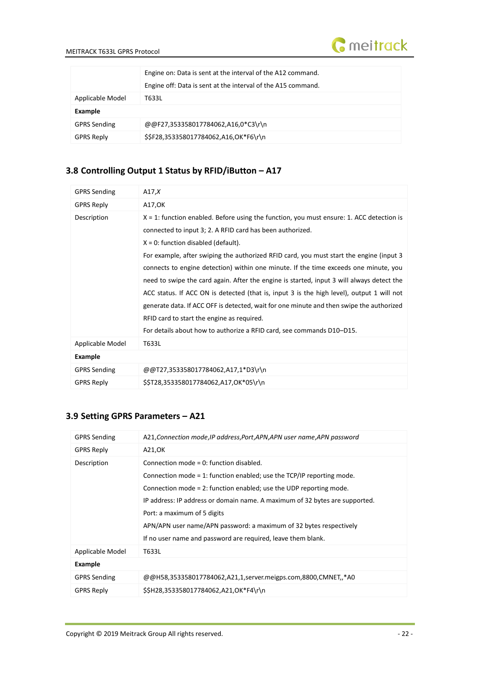

|                     | Engine on: Data is sent at the interval of the A12 command.<br>Engine off: Data is sent at the interval of the A15 command. |  |
|---------------------|-----------------------------------------------------------------------------------------------------------------------------|--|
| Applicable Model    | T633L                                                                                                                       |  |
| Example             |                                                                                                                             |  |
| <b>GPRS Sending</b> | @@F27,353358017784062,A16,0*C3\r\n                                                                                          |  |
| <b>GPRS Reply</b>   | \$\$F28,353358017784062,A16,OK*F6\r\n                                                                                       |  |

# <span id="page-21-0"></span>**3.8 Controlling Output 1 Status by RFID/iButton – A17**

| <b>GPRS Sending</b> | A17, $X$                                                                                    |
|---------------------|---------------------------------------------------------------------------------------------|
| <b>GPRS Reply</b>   | A17,OK                                                                                      |
| Description         | $X = 1$ : function enabled. Before using the function, you must ensure: 1. ACC detection is |
|                     | connected to input 3; 2. A RFID card has been authorized.                                   |
|                     | $X = 0$ : function disabled (default).                                                      |
|                     | For example, after swiping the authorized RFID card, you must start the engine (input 3     |
|                     | connects to engine detection) within one minute. If the time exceeds one minute, you        |
|                     | need to swipe the card again. After the engine is started, input 3 will always detect the   |
|                     | ACC status. If ACC ON is detected (that is, input 3 is the high level), output 1 will not   |
|                     | generate data. If ACC OFF is detected, wait for one minute and then swipe the authorized    |
|                     | RFID card to start the engine as required.                                                  |
|                     | For details about how to authorize a RFID card, see commands D10-D15.                       |
| Applicable Model    | T633L                                                                                       |
| Example             |                                                                                             |
| <b>GPRS Sending</b> | @@T27,353358017784062,A17,1*D3\r\n                                                          |
| <b>GPRS Reply</b>   | \$\$T28,353358017784062,A17,OK*05\r\n                                                       |

# <span id="page-21-1"></span>**3.9 Setting GPRS Parameters – A21**

| <b>GPRS Sending</b> | A21, Connection mode, IP address, Port, APN, APN user name, APN password                                                                                                                                                                                                                                                                                                      |
|---------------------|-------------------------------------------------------------------------------------------------------------------------------------------------------------------------------------------------------------------------------------------------------------------------------------------------------------------------------------------------------------------------------|
| <b>GPRS Reply</b>   | A21,OK                                                                                                                                                                                                                                                                                                                                                                        |
| Description         | Connection mode = $0$ : function disabled.<br>Connection mode = 1: function enabled; use the TCP/IP reporting mode.<br>Connection mode = 2: function enabled; use the UDP reporting mode.<br>IP address: IP address or domain name. A maximum of 32 bytes are supported.<br>Port: a maximum of 5 digits<br>APN/APN user name/APN password: a maximum of 32 bytes respectively |
|                     | If no user name and password are required, leave them blank.                                                                                                                                                                                                                                                                                                                  |
| Applicable Model    | T633L                                                                                                                                                                                                                                                                                                                                                                         |
| Example             |                                                                                                                                                                                                                                                                                                                                                                               |
| <b>GPRS Sending</b> | @@H58,353358017784062,A21,1,server.meigps.com,8800,CMNET,,*A0                                                                                                                                                                                                                                                                                                                 |
| <b>GPRS Reply</b>   | \$\$H28,353358017784062,A21,OK*F4\r\n                                                                                                                                                                                                                                                                                                                                         |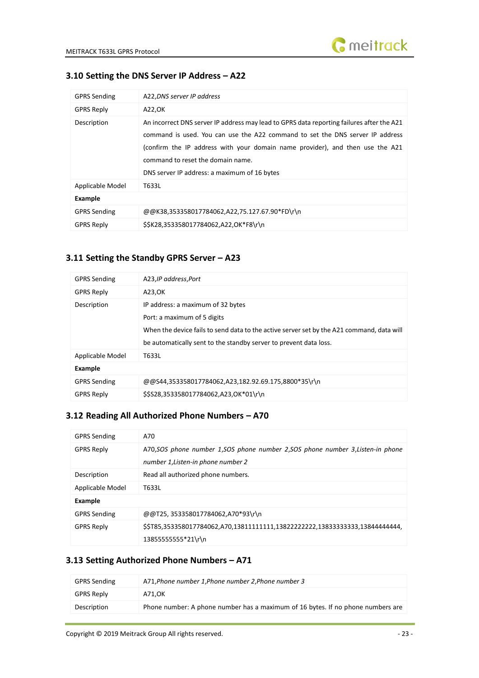

# <span id="page-22-0"></span>**3.10 Setting the DNS Server IP Address – A22**

| <b>GPRS Sending</b> | A22, DNS server IP address                                                                                                                                                                                                                                                                                                                       |
|---------------------|--------------------------------------------------------------------------------------------------------------------------------------------------------------------------------------------------------------------------------------------------------------------------------------------------------------------------------------------------|
| <b>GPRS Reply</b>   | A22,OK                                                                                                                                                                                                                                                                                                                                           |
| Description         | An incorrect DNS server IP address may lead to GPRS data reporting failures after the A21<br>command is used. You can use the A22 command to set the DNS server IP address<br>(confirm the IP address with your domain name provider), and then use the A21<br>command to reset the domain name.<br>DNS server IP address: a maximum of 16 bytes |
| Applicable Model    | T633L                                                                                                                                                                                                                                                                                                                                            |
| Example             |                                                                                                                                                                                                                                                                                                                                                  |
| <b>GPRS Sending</b> | @@K38,353358017784062,A22,75.127.67.90*FD\r\n                                                                                                                                                                                                                                                                                                    |
| <b>GPRS Reply</b>   | \$\$K28,353358017784062,A22,OK*F8\r\n                                                                                                                                                                                                                                                                                                            |

#### <span id="page-22-1"></span>**3.11 Setting the Standby GPRS Server – A23**

| <b>GPRS Sending</b> | A23, IP address, Port                                                                                                                                                                                                              |  |
|---------------------|------------------------------------------------------------------------------------------------------------------------------------------------------------------------------------------------------------------------------------|--|
| <b>GPRS Reply</b>   | A23, OK                                                                                                                                                                                                                            |  |
| Description         | IP address: a maximum of 32 bytes<br>Port: a maximum of 5 digits<br>When the device fails to send data to the active server set by the A21 command, data will<br>be automatically sent to the standby server to prevent data loss. |  |
| Applicable Model    | T633L                                                                                                                                                                                                                              |  |
| Example             |                                                                                                                                                                                                                                    |  |
| <b>GPRS Sending</b> | @@S44,353358017784062,A23,182.92.69.175,8800*35\r\n                                                                                                                                                                                |  |
| <b>GPRS Reply</b>   | \$\$S28,353358017784062,A23,OK*01\r\n                                                                                                                                                                                              |  |

# <span id="page-22-2"></span>**3.12 Reading All Authorized Phone Numbers – A70**

| <b>GPRS Sending</b> | A70                                                                                                                    |  |
|---------------------|------------------------------------------------------------------------------------------------------------------------|--|
| <b>GPRS Reply</b>   | A70, SOS phone number 1, SOS phone number 2, SOS phone number 3, Listen-in phone<br>number 1, Listen-in phone number 2 |  |
| Description         | Read all authorized phone numbers.                                                                                     |  |
| Applicable Model    | T633L                                                                                                                  |  |
| Example             |                                                                                                                        |  |
| <b>GPRS Sending</b> | @@T25, 353358017784062,A70*93\r\n                                                                                      |  |
| <b>GPRS Reply</b>   | \$\$T85,353358017784062,A70,138111111111,13822222222,13833333333,13844444444,<br>13855555555*21\r\n                    |  |

# <span id="page-22-3"></span>**3.13 Setting Authorized Phone Numbers – A71**

| <b>GPRS Sending</b> | A71, Phone number 1, Phone number 2, Phone number 3                             |
|---------------------|---------------------------------------------------------------------------------|
| <b>GPRS Reply</b>   | A71.OK                                                                          |
| Description         | Phone number: A phone number has a maximum of 16 bytes. If no phone numbers are |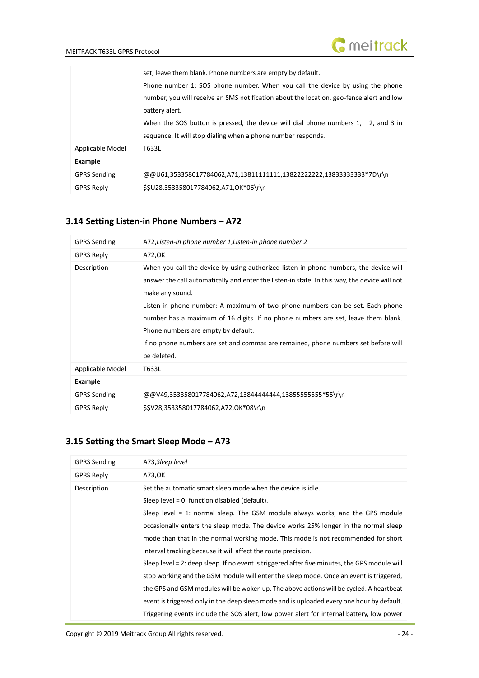|                     | set, leave them blank. Phone numbers are empty by default.<br>Phone number 1: SOS phone number. When you call the device by using the phone<br>number, you will receive an SMS notification about the location, geo-fence alert and low<br>battery alert.<br>When the SOS button is pressed, the device will dial phone numbers 1, 2, and 3 in<br>sequence. It will stop dialing when a phone number responds. |
|---------------------|----------------------------------------------------------------------------------------------------------------------------------------------------------------------------------------------------------------------------------------------------------------------------------------------------------------------------------------------------------------------------------------------------------------|
| Applicable Model    | T633L                                                                                                                                                                                                                                                                                                                                                                                                          |
| Example             |                                                                                                                                                                                                                                                                                                                                                                                                                |
| <b>GPRS Sending</b> | @@U61,353358017784062,A71,13811111111,13822222222,138333333333*7D\r\n                                                                                                                                                                                                                                                                                                                                          |
| <b>GPRS Reply</b>   | \$\$U28.353358017784062.A71.OK*06\r\n                                                                                                                                                                                                                                                                                                                                                                          |

# <span id="page-23-0"></span>**3.14 Setting Listen-in Phone Numbers – A72**

| <b>GPRS Sending</b> | A72, Listen-in phone number 1, Listen-in phone number 2                                                                                                                                                                                                                                                                                                                                                                                                                                                                     |
|---------------------|-----------------------------------------------------------------------------------------------------------------------------------------------------------------------------------------------------------------------------------------------------------------------------------------------------------------------------------------------------------------------------------------------------------------------------------------------------------------------------------------------------------------------------|
| <b>GPRS Reply</b>   | A72, OK                                                                                                                                                                                                                                                                                                                                                                                                                                                                                                                     |
| Description         | When you call the device by using authorized listen-in phone numbers, the device will<br>answer the call automatically and enter the listen-in state. In this way, the device will not<br>make any sound.<br>Listen-in phone number: A maximum of two phone numbers can be set. Each phone<br>number has a maximum of 16 digits. If no phone numbers are set, leave them blank.<br>Phone numbers are empty by default.<br>If no phone numbers are set and commas are remained, phone numbers set before will<br>be deleted. |
| Applicable Model    | T633L                                                                                                                                                                                                                                                                                                                                                                                                                                                                                                                       |
| Example             |                                                                                                                                                                                                                                                                                                                                                                                                                                                                                                                             |
| <b>GPRS Sending</b> | $@@V49,353358017784062,A72,13844444444,138555555555*55\}$                                                                                                                                                                                                                                                                                                                                                                                                                                                                   |
| <b>GPRS Reply</b>   | \$\$V28,353358017784062,A72,OK*08\r\n                                                                                                                                                                                                                                                                                                                                                                                                                                                                                       |

# <span id="page-23-1"></span>**3.15 Setting the Smart Sleep Mode – A73**

| <b>GPRS Sending</b> | A73, Sleep level                                                                              |
|---------------------|-----------------------------------------------------------------------------------------------|
| <b>GPRS Reply</b>   | A73,OK                                                                                        |
| Description         | Set the automatic smart sleep mode when the device is idle.                                   |
|                     | Sleep level = $0:$ function disabled (default).                                               |
|                     | Sleep level = 1: normal sleep. The GSM module always works, and the GPS module                |
|                     | occasionally enters the sleep mode. The device works 25% longer in the normal sleep           |
|                     | mode than that in the normal working mode. This mode is not recommended for short             |
|                     | interval tracking because it will affect the route precision.                                 |
|                     | Sleep level = 2: deep sleep. If no event is triggered after five minutes, the GPS module will |
|                     | stop working and the GSM module will enter the sleep mode. Once an event is triggered,        |
|                     | the GPS and GSM modules will be woken up. The above actions will be cycled. A heartbeat       |
|                     | event is triggered only in the deep sleep mode and is uploaded every one hour by default.     |
|                     | Triggering events include the SOS alert, low power alert for internal battery, low power      |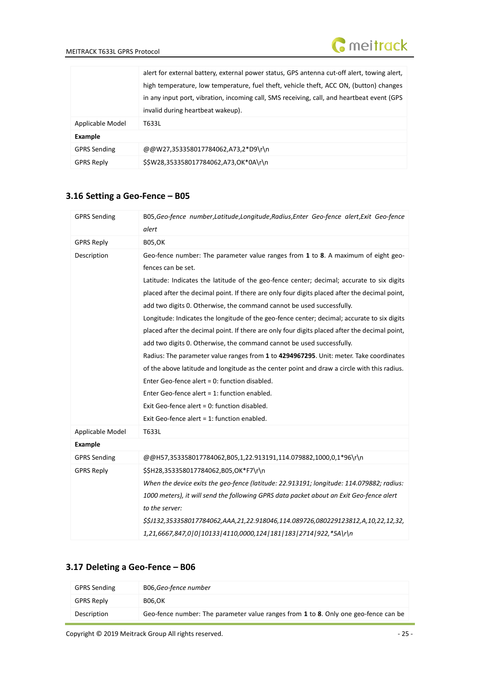

|                     | alert for external battery, external power status, GPS antenna cut-off alert, towing alert, |  |
|---------------------|---------------------------------------------------------------------------------------------|--|
|                     | high temperature, low temperature, fuel theft, vehicle theft, ACC ON, (button) changes      |  |
|                     | in any input port, vibration, incoming call, SMS receiving, call, and heartbeat event (GPS  |  |
|                     | invalid during heartbeat wakeup).                                                           |  |
| Applicable Model    | T633L                                                                                       |  |
| <b>Example</b>      |                                                                                             |  |
| <b>GPRS Sending</b> | @@W27,353358017784062,A73,2*D9\r\n                                                          |  |
| <b>GPRS Reply</b>   | \$\$W28,353358017784062,A73,OK*0A\r\n                                                       |  |

# <span id="page-24-0"></span>**3.16 Setting a Geo-Fence – B05**

| <b>GPRS Sending</b> | B05, Geo-fence number, Latitude, Longitude, Radius, Enter Geo-fence alert, Exit Geo-fence<br>alert      |
|---------------------|---------------------------------------------------------------------------------------------------------|
| <b>GPRS Reply</b>   | <b>B05,OK</b>                                                                                           |
| Description         | Geo-fence number: The parameter value ranges from 1 to 8. A maximum of eight geo-<br>fences can be set. |
|                     | Latitude: Indicates the latitude of the geo-fence center; decimal; accurate to six digits               |
|                     | placed after the decimal point. If there are only four digits placed after the decimal point,           |
|                     | add two digits 0. Otherwise, the command cannot be used successfully.                                   |
|                     | Longitude: Indicates the longitude of the geo-fence center; decimal; accurate to six digits             |
|                     | placed after the decimal point. If there are only four digits placed after the decimal point,           |
|                     | add two digits 0. Otherwise, the command cannot be used successfully.                                   |
|                     | Radius: The parameter value ranges from 1 to 4294967295. Unit: meter. Take coordinates                  |
|                     | of the above latitude and longitude as the center point and draw a circle with this radius.             |
|                     | Enter Geo-fence alert = 0: function disabled.                                                           |
|                     | Enter Geo-fence alert = $1$ : function enabled.                                                         |
|                     | Exit Geo-fence alert = 0: function disabled.                                                            |
|                     | Exit Geo-fence alert = 1: function enabled.                                                             |
| Applicable Model    | T633L                                                                                                   |
| <b>Example</b>      |                                                                                                         |
| <b>GPRS Sending</b> | @@H57,353358017784062,B05,1,22.913191,114.079882,1000,0,1*96\r\n                                        |
| <b>GPRS Reply</b>   | \$\$H28,353358017784062,B05,OK*F7\r\n                                                                   |
|                     | When the device exits the geo-fence (latitude: 22.913191; longitude: 114.079882; radius:                |
|                     | 1000 meters), it will send the following GPRS data packet about an Exit Geo-fence alert                 |
|                     | to the server:                                                                                          |
|                     | \$\$J132,353358017784062,AAA,21,22.918046,114.089726,080229123812,A,10,22,12,32,                        |
|                     | 1,21,6667,847,0 0 10133 4110,0000,124 181 183 2714 922,*5A\r\n                                          |

### <span id="page-24-1"></span>**3.17 Deleting a Geo-Fence – B06**

| <b>GPRS Sending</b> | B06,Geo-fence number                                                                |
|---------------------|-------------------------------------------------------------------------------------|
| <b>GPRS Reply</b>   | <b>B06.OK</b>                                                                       |
| Description         | Geo-fence number: The parameter value ranges from 1 to 8. Only one geo-fence can be |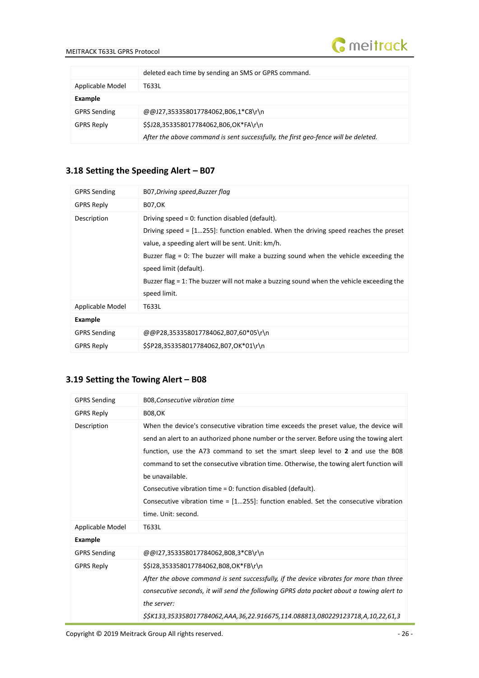

|                     | deleted each time by sending an SMS or GPRS command.                               |
|---------------------|------------------------------------------------------------------------------------|
| Applicable Model    | T633L                                                                              |
| Example             |                                                                                    |
| <b>GPRS Sending</b> | @@J27,353358017784062,B06,1*C8\r\n                                                 |
| <b>GPRS Reply</b>   | \$\$J28,353358017784062,B06,OK*FA\r\n                                              |
|                     | After the above command is sent successfully, the first geo-fence will be deleted. |

# <span id="page-25-0"></span>**3.18 Setting the Speeding Alert – B07**

| <b>GPRS Sending</b> | B07, Driving speed, Buzzer flag                                                                                                                                                                                                                                                                                                                                                                                                |
|---------------------|--------------------------------------------------------------------------------------------------------------------------------------------------------------------------------------------------------------------------------------------------------------------------------------------------------------------------------------------------------------------------------------------------------------------------------|
| <b>GPRS Reply</b>   | <b>B07,OK</b>                                                                                                                                                                                                                                                                                                                                                                                                                  |
| Description         | Driving speed = $0:$ function disabled (default).<br>Driving speed = $[1255]$ : function enabled. When the driving speed reaches the preset<br>value, a speeding alert will be sent. Unit: km/h.<br>Buzzer flag = 0: The buzzer will make a buzzing sound when the vehicle exceeding the<br>speed limit (default).<br>Buzzer flag = 1: The buzzer will not make a buzzing sound when the vehicle exceeding the<br>speed limit. |
| Applicable Model    | T633L                                                                                                                                                                                                                                                                                                                                                                                                                          |
| Example             |                                                                                                                                                                                                                                                                                                                                                                                                                                |
| <b>GPRS Sending</b> | @@P28,353358017784062,B07,60*05\r\n                                                                                                                                                                                                                                                                                                                                                                                            |
| <b>GPRS Reply</b>   | \$\$P28,353358017784062,B07,OK*01\r\n                                                                                                                                                                                                                                                                                                                                                                                          |

# <span id="page-25-1"></span>**3.19 Setting the Towing Alert – B08**

| <b>GPRS Sending</b> | B08, Consecutive vibration time                                                                                                                                                                                                                                                                                                                                                                                                                                                                                                                 |
|---------------------|-------------------------------------------------------------------------------------------------------------------------------------------------------------------------------------------------------------------------------------------------------------------------------------------------------------------------------------------------------------------------------------------------------------------------------------------------------------------------------------------------------------------------------------------------|
| <b>GPRS Reply</b>   | <b>B08,OK</b>                                                                                                                                                                                                                                                                                                                                                                                                                                                                                                                                   |
| Description         | When the device's consecutive vibration time exceeds the preset value, the device will<br>send an alert to an authorized phone number or the server. Before using the towing alert<br>function, use the A73 command to set the smart sleep level to 2 and use the B08<br>command to set the consecutive vibration time. Otherwise, the towing alert function will<br>be unavailable.<br>Consecutive vibration time = 0: function disabled (default).<br>Consecutive vibration time = $[1255]$ : function enabled. Set the consecutive vibration |
|                     | time. Unit: second.                                                                                                                                                                                                                                                                                                                                                                                                                                                                                                                             |
| Applicable Model    | T633L                                                                                                                                                                                                                                                                                                                                                                                                                                                                                                                                           |
| Example             |                                                                                                                                                                                                                                                                                                                                                                                                                                                                                                                                                 |
| <b>GPRS Sending</b> | @@I27,353358017784062,B08,3*CB\r\n                                                                                                                                                                                                                                                                                                                                                                                                                                                                                                              |
| <b>GPRS Reply</b>   | \$\$128,353358017784062,B08,OK*FB\r\n<br>After the above command is sent successfully, if the device vibrates for more than three<br>consecutive seconds, it will send the following GPRS data packet about a towing alert to<br>the server:<br>\$\$K133,353358017784062,AAA,36,22.916675,114.088813,080229123718,A,10,22,61,3                                                                                                                                                                                                                  |

Copyright © 2019 Meitrack Group All rights reserved.  $-26 - 1$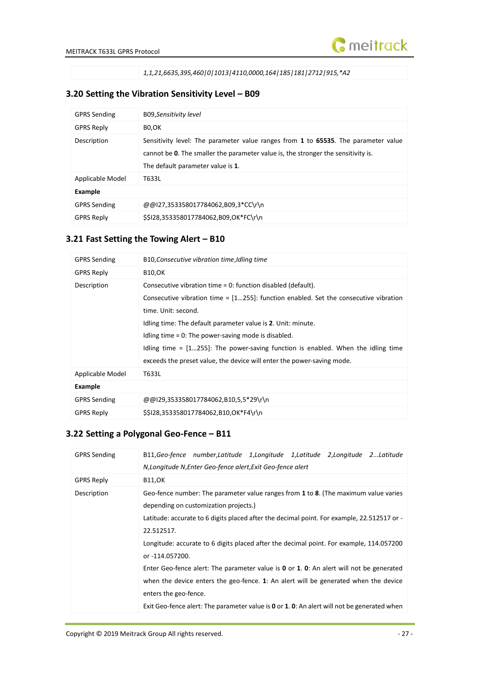

*1,1,21,6635,395,460|0|1013|4110,0000,164|185|181|2712|915,\*A2*

# <span id="page-26-0"></span>**3.20 Setting the Vibration Sensitivity Level – B09**

| <b>GPRS Sending</b> | B09, Sensitivity level                                                                                                                                                                                       |  |
|---------------------|--------------------------------------------------------------------------------------------------------------------------------------------------------------------------------------------------------------|--|
| <b>GPRS Reply</b>   | BO,OK                                                                                                                                                                                                        |  |
| Description         | Sensitivity level: The parameter value ranges from 1 to 65535. The parameter value<br>cannot be 0. The smaller the parameter value is, the stronger the sensitivity is.<br>The default parameter value is 1. |  |
| Applicable Model    | T633L                                                                                                                                                                                                        |  |
| <b>Example</b>      |                                                                                                                                                                                                              |  |
| <b>GPRS Sending</b> | @@I27,353358017784062,B09,3*CC\r\n                                                                                                                                                                           |  |
| <b>GPRS Reply</b>   | \$\$128,353358017784062,B09,OK*FC\r\n                                                                                                                                                                        |  |

# <span id="page-26-1"></span>**3.21 Fast Setting the Towing Alert – B10**

| <b>GPRS Sending</b> | B10, Consecutive vibration time, Idling time                                                                                                                                                                                                                                                                                                                                                                                                                                |
|---------------------|-----------------------------------------------------------------------------------------------------------------------------------------------------------------------------------------------------------------------------------------------------------------------------------------------------------------------------------------------------------------------------------------------------------------------------------------------------------------------------|
| <b>GPRS Reply</b>   | <b>B10,OK</b>                                                                                                                                                                                                                                                                                                                                                                                                                                                               |
| Description         | Consecutive vibration time = 0: function disabled (default).<br>Consecutive vibration time = $[1255]$ : function enabled. Set the consecutive vibration<br>time. Unit: second.<br>Idling time: The default parameter value is 2. Unit: minute.<br>Idling time $= 0$ : The power-saving mode is disabled.<br>Idling time $=$ $[1255]$ : The power-saving function is enabled. When the idling time<br>exceeds the preset value, the device will enter the power-saving mode. |
| Applicable Model    | T633L                                                                                                                                                                                                                                                                                                                                                                                                                                                                       |
| <b>Example</b>      |                                                                                                                                                                                                                                                                                                                                                                                                                                                                             |
| <b>GPRS Sending</b> | @@I29,353358017784062,B10,5,5*29\r\n                                                                                                                                                                                                                                                                                                                                                                                                                                        |
| <b>GPRS Reply</b>   | \$\$128,353358017784062,B10,OK*F4\r\n                                                                                                                                                                                                                                                                                                                                                                                                                                       |

# <span id="page-26-2"></span>**3.22 Setting a Polygonal Geo-Fence – B11**

| <b>GPRS Sending</b> | B11, Geo-fence number, Latitude 1, Longitude 1, Latitude 2, Longitude 2 Latitude<br>N, Longitude N, Enter Geo-fence alert, Exit Geo-fence alert                                                                                                                                                                                                                                                                                                                                                                                                                     |
|---------------------|---------------------------------------------------------------------------------------------------------------------------------------------------------------------------------------------------------------------------------------------------------------------------------------------------------------------------------------------------------------------------------------------------------------------------------------------------------------------------------------------------------------------------------------------------------------------|
| <b>GPRS Reply</b>   | <b>B11,OK</b>                                                                                                                                                                                                                                                                                                                                                                                                                                                                                                                                                       |
| Description         | Geo-fence number: The parameter value ranges from 1 to 8. (The maximum value varies<br>depending on customization projects.)<br>Latitude: accurate to 6 digits placed after the decimal point. For example, 22.512517 or -<br>22.512517.<br>Longitude: accurate to 6 digits placed after the decimal point. For example, 114.057200<br>or -114.057200.<br>Enter Geo-fence alert: The parameter value is $0$ or 1. 0: An alert will not be generated<br>when the device enters the geo-fence. 1: An alert will be generated when the device<br>enters the geo-fence. |
|                     | Exit Geo-fence alert: The parameter value is 0 or 1. 0: An alert will not be generated when                                                                                                                                                                                                                                                                                                                                                                                                                                                                         |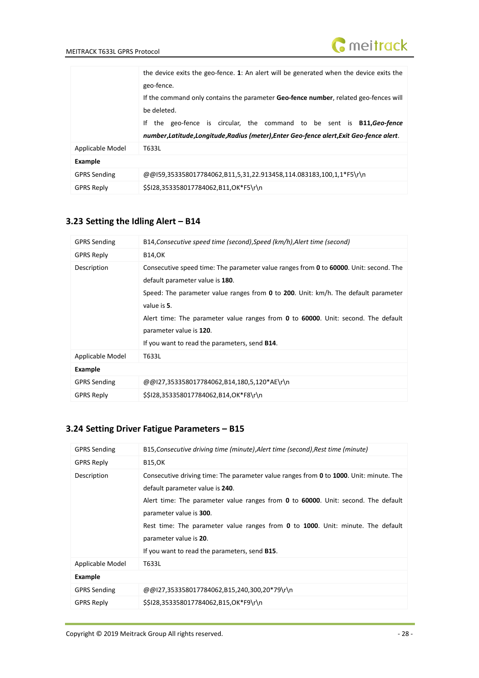

|                     | the device exits the geo-fence. 1: An alert will be generated when the device exits the      |
|---------------------|----------------------------------------------------------------------------------------------|
|                     | geo-fence.                                                                                   |
|                     | If the command only contains the parameter <b>Geo-fence number</b> , related geo-fences will |
|                     | be deleted.                                                                                  |
|                     | the geo-fence is circular, the command to be sent is <b>B11, Geo-fence</b><br>Ιf             |
|                     | number, Latitude, Longitude, Radius (meter), Enter Geo-fence alert, Exit Geo-fence alert.    |
| Applicable Model    | T633L                                                                                        |
| <b>Example</b>      |                                                                                              |
| <b>GPRS Sending</b> | $@@159,353358017784062,B11,5,31,22.913458,114.083183,100,1,1*F5\$                            |
| <b>GPRS Reply</b>   | \$\$128,353358017784062,B11,OK*F5\r\n                                                        |

# <span id="page-27-0"></span>**3.23 Setting the Idling Alert – B14**

| <b>GPRS Sending</b> | B14, Consecutive speed time (second), Speed (km/h), Alert time (second)                                                                                                                                                                                                                                                                                                                                                                             |  |
|---------------------|-----------------------------------------------------------------------------------------------------------------------------------------------------------------------------------------------------------------------------------------------------------------------------------------------------------------------------------------------------------------------------------------------------------------------------------------------------|--|
| <b>GPRS Reply</b>   | <b>B14,OK</b>                                                                                                                                                                                                                                                                                                                                                                                                                                       |  |
| Description         | Consecutive speed time: The parameter value ranges from <b>0</b> to <b>60000</b> . Unit: second. The<br>default parameter value is 180.<br>Speed: The parameter value ranges from <b>0</b> to <b>200</b> . Unit: km/h. The default parameter<br>value is 5.<br>Alert time: The parameter value ranges from <b>0</b> to <b>60000</b> . Unit: second. The default<br>parameter value is 120.<br>If you want to read the parameters, send <b>B14</b> . |  |
| Applicable Model    | T633L                                                                                                                                                                                                                                                                                                                                                                                                                                               |  |
| Example             |                                                                                                                                                                                                                                                                                                                                                                                                                                                     |  |
| <b>GPRS Sending</b> | @@I27,353358017784062,B14,180,5,120*AE\r\n                                                                                                                                                                                                                                                                                                                                                                                                          |  |
| <b>GPRS Reply</b>   | \$\$128,353358017784062,B14,OK*F8\r\n                                                                                                                                                                                                                                                                                                                                                                                                               |  |

# <span id="page-27-1"></span>**3.24 Setting Driver Fatigue Parameters – B15**

| <b>GPRS Sending</b> | B15, Consecutive driving time (minute), Alert time (second), Rest time (minute)                                                                                                                                                                                                                                                                                                                                                       |
|---------------------|---------------------------------------------------------------------------------------------------------------------------------------------------------------------------------------------------------------------------------------------------------------------------------------------------------------------------------------------------------------------------------------------------------------------------------------|
| <b>GPRS Reply</b>   | <b>B15,OK</b>                                                                                                                                                                                                                                                                                                                                                                                                                         |
| Description         | Consecutive driving time: The parameter value ranges from <b>0</b> to 1000. Unit: minute. The<br>default parameter value is 240.<br>Alert time: The parameter value ranges from <b>0</b> to <b>60000</b> . Unit: second. The default<br>parameter value is 300.<br>Rest time: The parameter value ranges from 0 to 1000. Unit: minute. The default<br>parameter value is 20.<br>If you want to read the parameters, send <b>B15</b> . |
| Applicable Model    | T633L                                                                                                                                                                                                                                                                                                                                                                                                                                 |
| Example             |                                                                                                                                                                                                                                                                                                                                                                                                                                       |
| <b>GPRS Sending</b> | @@I27,353358017784062,B15,240,300,20*79\r\n                                                                                                                                                                                                                                                                                                                                                                                           |
| <b>GPRS Reply</b>   | \$\$128,353358017784062,B15,OK*F9\r\n                                                                                                                                                                                                                                                                                                                                                                                                 |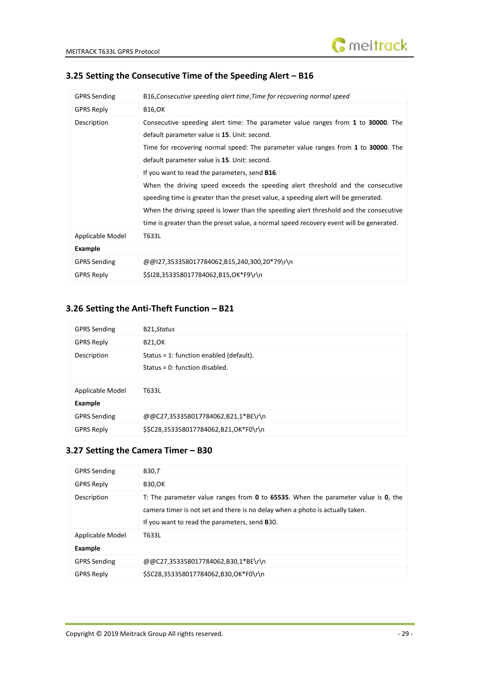| <b>GPRS Sending</b> | B16, Consecutive speeding alert time, Time for recovering normal speed                                                                                                                                                                                                                                                                                                                                                                                                                                                                                                                                                                                                                       |
|---------------------|----------------------------------------------------------------------------------------------------------------------------------------------------------------------------------------------------------------------------------------------------------------------------------------------------------------------------------------------------------------------------------------------------------------------------------------------------------------------------------------------------------------------------------------------------------------------------------------------------------------------------------------------------------------------------------------------|
| <b>GPRS Reply</b>   | <b>B16,OK</b>                                                                                                                                                                                                                                                                                                                                                                                                                                                                                                                                                                                                                                                                                |
| Description         | Consecutive speeding alert time: The parameter value ranges from 1 to 30000. The<br>default parameter value is 15. Unit: second.<br>Time for recovering normal speed: The parameter value ranges from 1 to 30000. The<br>default parameter value is 15. Unit: second.<br>If you want to read the parameters, send <b>B16</b> .<br>When the driving speed exceeds the speeding alert threshold and the consecutive<br>speeding time is greater than the preset value, a speeding alert will be generated.<br>When the driving speed is lower than the speeding alert threshold and the consecutive<br>time is greater than the preset value, a normal speed recovery event will be generated. |
| Applicable Model    | T633L                                                                                                                                                                                                                                                                                                                                                                                                                                                                                                                                                                                                                                                                                        |
| Example             |                                                                                                                                                                                                                                                                                                                                                                                                                                                                                                                                                                                                                                                                                              |
| <b>GPRS Sending</b> | @@I27,353358017784062,B15,240,300,20*79\r\n                                                                                                                                                                                                                                                                                                                                                                                                                                                                                                                                                                                                                                                  |
| <b>GPRS Reply</b>   | \$\$128,353358017784062,B15,OK*F9\r\n                                                                                                                                                                                                                                                                                                                                                                                                                                                                                                                                                                                                                                                        |

#### <span id="page-28-0"></span>**3.25 Setting the Consecutive Time of the Speeding Alert – B16**

#### <span id="page-28-1"></span>**3.26 Setting the Anti-Theft Function – B21**

| <b>GPRS Sending</b> | B21, Status                                                                 |  |
|---------------------|-----------------------------------------------------------------------------|--|
| <b>GPRS Reply</b>   | <b>B21,OK</b>                                                               |  |
| Description         | Status = 1: function enabled (default).<br>Status = $0:$ function disabled. |  |
| Applicable Model    | T633L                                                                       |  |
| Example             |                                                                             |  |
| <b>GPRS Sending</b> | @@C27,353358017784062,B21,1*BE\r\n                                          |  |
| <b>GPRS Reply</b>   | \$\$C28,353358017784062,B21,OK*F0\r\n                                       |  |

# <span id="page-28-2"></span>**3.27 Setting the Camera Timer – B30**

| B30,T                                                                                                                                                                                                                              |
|------------------------------------------------------------------------------------------------------------------------------------------------------------------------------------------------------------------------------------|
| <b>B30,OK</b>                                                                                                                                                                                                                      |
| T: The parameter value ranges from $\bm{0}$ to 65535. When the parameter value is $\bm{0}$ , the<br>camera timer is not set and there is no delay when a photo is actually taken.<br>If you want to read the parameters, send B30. |
| T633L                                                                                                                                                                                                                              |
|                                                                                                                                                                                                                                    |
| @@C27,353358017784062,B30,1*BE\r\n                                                                                                                                                                                                 |
| \$\$C28,353358017784062,B30,OK*F0\r\n                                                                                                                                                                                              |
|                                                                                                                                                                                                                                    |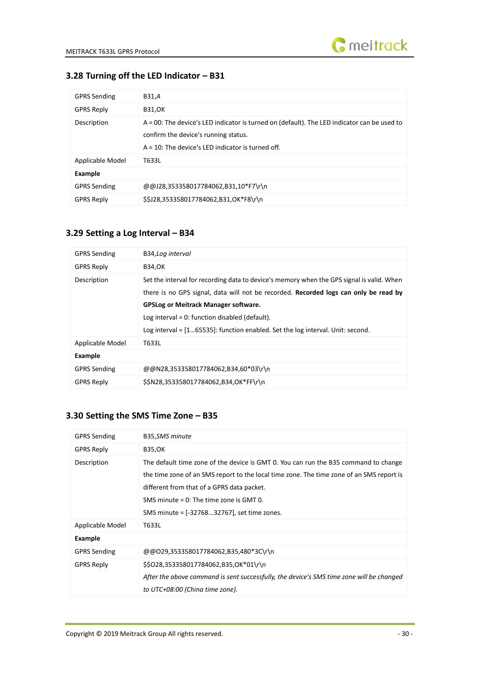

# <span id="page-29-0"></span>**3.28 Turning off the LED Indicator – B31**

| <b>GPRS Sending</b> | B31,A                                                                                                                                                                                       |
|---------------------|---------------------------------------------------------------------------------------------------------------------------------------------------------------------------------------------|
| <b>GPRS Reply</b>   | <b>B31,OK</b>                                                                                                                                                                               |
| Description         | A = 00: The device's LED indicator is turned on (default). The LED indicator can be used to<br>confirm the device's running status.<br>$A = 10$ : The device's LED indicator is turned off. |
| Applicable Model    | T633L                                                                                                                                                                                       |
| Example             |                                                                                                                                                                                             |
| <b>GPRS Sending</b> | @@J28,353358017784062,B31,10*F7\r\n                                                                                                                                                         |
| <b>GPRS Reply</b>   | \$\$J28,353358017784062,B31,OK*F8\r\n                                                                                                                                                       |

#### <span id="page-29-1"></span>**3.29 Setting a Log Interval – B34**

| <b>GPRS Sending</b> | B34, Log interval                                                                                                                                                                                                                                                                                                                                                          |
|---------------------|----------------------------------------------------------------------------------------------------------------------------------------------------------------------------------------------------------------------------------------------------------------------------------------------------------------------------------------------------------------------------|
| <b>GPRS Reply</b>   | <b>B34,OK</b>                                                                                                                                                                                                                                                                                                                                                              |
| Description         | Set the interval for recording data to device's memory when the GPS signal is valid. When<br>there is no GPS signal, data will not be recorded. Recorded logs can only be read by<br><b>GPSLog or Meitrack Manager software.</b><br>Log interval = $0$ : function disabled (default).<br>Log interval = $[165535]$ : function enabled. Set the log interval. Unit: second. |
| Applicable Model    | T633L                                                                                                                                                                                                                                                                                                                                                                      |
| Example             |                                                                                                                                                                                                                                                                                                                                                                            |
| <b>GPRS Sending</b> | @@N28,353358017784062,B34,60*03\r\n                                                                                                                                                                                                                                                                                                                                        |
| <b>GPRS Reply</b>   | \$\$N28,353358017784062,B34,OK*FF\r\n                                                                                                                                                                                                                                                                                                                                      |

# <span id="page-29-2"></span>**3.30 Setting the SMS Time Zone – B35**

| <b>GPRS Sending</b> | B35, SMS minute                                                                                                                                                                                                                                                                                                            |
|---------------------|----------------------------------------------------------------------------------------------------------------------------------------------------------------------------------------------------------------------------------------------------------------------------------------------------------------------------|
| <b>GPRS Reply</b>   | <b>B35,OK</b>                                                                                                                                                                                                                                                                                                              |
| Description         | The default time zone of the device is GMT 0. You can run the B35 command to change<br>the time zone of an SMS report to the local time zone. The time zone of an SMS report is<br>different from that of a GPRS data packet.<br>SMS minute $= 0$ : The time zone is GMT 0.<br>SMS minute = [-3276832767], set time zones. |
| Applicable Model    | T633L                                                                                                                                                                                                                                                                                                                      |
| Example             |                                                                                                                                                                                                                                                                                                                            |
| <b>GPRS Sending</b> | @@O29,353358017784062,B35,480*3C\r\n                                                                                                                                                                                                                                                                                       |
| <b>GPRS Reply</b>   | \$\$028,353358017784062,B35,OK*01\r\n<br>After the above command is sent successfully, the device's SMS time zone will be changed<br>to UTC+08:00 (China time zone).                                                                                                                                                       |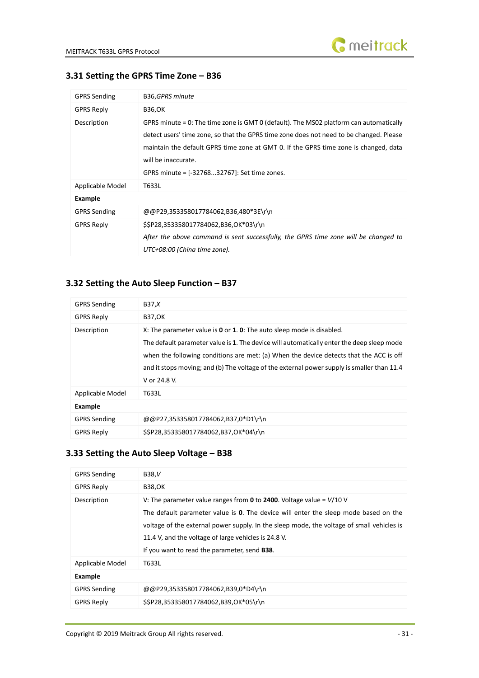

<span id="page-30-0"></span>

|  | 3.31 Setting the GPRS Time Zone - B36 |  |  |  |  |  |
|--|---------------------------------------|--|--|--|--|--|
|--|---------------------------------------|--|--|--|--|--|

| <b>GPRS Sending</b> | B36,GPRS minute                                                                                                                                                                                                                                                                                                                                  |
|---------------------|--------------------------------------------------------------------------------------------------------------------------------------------------------------------------------------------------------------------------------------------------------------------------------------------------------------------------------------------------|
| <b>GPRS Reply</b>   | <b>B36,OK</b>                                                                                                                                                                                                                                                                                                                                    |
| Description         | GPRS minute = 0: The time zone is GMT 0 (default). The MS02 platform can automatically<br>detect users' time zone, so that the GPRS time zone does not need to be changed. Please<br>maintain the default GPRS time zone at GMT 0. If the GPRS time zone is changed, data<br>will be inaccurate.<br>GPRS minute = [-3276832767]: Set time zones. |
| Applicable Model    | T633L                                                                                                                                                                                                                                                                                                                                            |
| Example             |                                                                                                                                                                                                                                                                                                                                                  |
| <b>GPRS Sending</b> | @@P29,353358017784062,B36,480*3E\r\n                                                                                                                                                                                                                                                                                                             |
| <b>GPRS Reply</b>   | \$\$P28,353358017784062,B36,OK*03\r\n<br>After the above command is sent successfully, the GPRS time zone will be changed to<br>UTC+08:00 (China time zone).                                                                                                                                                                                     |

# <span id="page-30-1"></span>**3.32 Setting the Auto Sleep Function – B37**

| <b>GPRS Sending</b> | B37,X                                                                                                                                                                                                                                                                                                                                                                      |
|---------------------|----------------------------------------------------------------------------------------------------------------------------------------------------------------------------------------------------------------------------------------------------------------------------------------------------------------------------------------------------------------------------|
| <b>GPRS Reply</b>   | <b>B37,OK</b>                                                                                                                                                                                                                                                                                                                                                              |
| Description         | X: The parameter value is 0 or 1. 0: The auto sleep mode is disabled.<br>The default parameter value is 1. The device will automatically enter the deep sleep mode<br>when the following conditions are met: (a) When the device detects that the ACC is off<br>and it stops moving; and (b) The voltage of the external power supply is smaller than 11.4<br>V or 24.8 V. |
| Applicable Model    | T633L                                                                                                                                                                                                                                                                                                                                                                      |
| Example             |                                                                                                                                                                                                                                                                                                                                                                            |
| <b>GPRS Sending</b> | @@P27,353358017784062,B37,0*D1\r\n                                                                                                                                                                                                                                                                                                                                         |
| <b>GPRS Reply</b>   | \$\$P28,353358017784062,B37,OK*04\r\n                                                                                                                                                                                                                                                                                                                                      |

#### <span id="page-30-2"></span>**3.33 Setting the Auto Sleep Voltage – B38**

| <b>GPRS Sending</b> | <b>B38,V</b>                                                                                                                                                                                                                                                                                                                                                                 |
|---------------------|------------------------------------------------------------------------------------------------------------------------------------------------------------------------------------------------------------------------------------------------------------------------------------------------------------------------------------------------------------------------------|
| <b>GPRS Reply</b>   | <b>B38,OK</b>                                                                                                                                                                                                                                                                                                                                                                |
| Description         | V: The parameter value ranges from $0$ to 2400. Voltage value = $V/10$ V<br>The default parameter value is 0. The device will enter the sleep mode based on the<br>voltage of the external power supply. In the sleep mode, the voltage of small vehicles is<br>11.4 V, and the voltage of large vehicles is 24.8 V.<br>If you want to read the parameter, send <b>B38</b> . |
| Applicable Model    | T633L                                                                                                                                                                                                                                                                                                                                                                        |
| Example             |                                                                                                                                                                                                                                                                                                                                                                              |
| <b>GPRS Sending</b> | @@P29,353358017784062,B39,0*D4\r\n                                                                                                                                                                                                                                                                                                                                           |
| <b>GPRS Reply</b>   | \$\$P28,353358017784062,B39,OK*05\r\n                                                                                                                                                                                                                                                                                                                                        |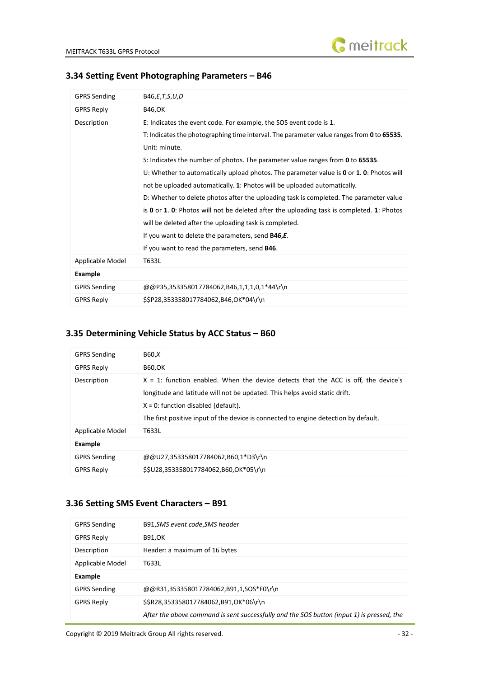

#### <span id="page-31-0"></span>**3.34 Setting Event Photographing Parameters – B46**

| <b>GPRS Sending</b> | B46,E,T,S,U,D                                                                               |
|---------------------|---------------------------------------------------------------------------------------------|
| <b>GPRS Reply</b>   | <b>B46,OK</b>                                                                               |
| Description         | E: Indicates the event code. For example, the SOS event code is 1.                          |
|                     | T: Indicates the photographing time interval. The parameter value ranges from 0 to 65535.   |
|                     | Unit: minute.                                                                               |
|                     | S: Indicates the number of photos. The parameter value ranges from 0 to 65535.              |
|                     | U: Whether to automatically upload photos. The parameter value is 0 or 1. 0: Photos will    |
|                     | not be uploaded automatically. 1: Photos will be uploaded automatically.                    |
|                     | D: Whether to delete photos after the uploading task is completed. The parameter value      |
|                     | is $0$ or 1. 0: Photos will not be deleted after the uploading task is completed. 1: Photos |
|                     | will be deleted after the uploading task is completed.                                      |
|                     | If you want to delete the parameters, send B46,E.                                           |
|                     | If you want to read the parameters, send <b>B46</b> .                                       |
| Applicable Model    | T633L                                                                                       |
| Example             |                                                                                             |
| <b>GPRS Sending</b> | @@P35,353358017784062,B46,1,1,1,0,1*44\r\n                                                  |
| <b>GPRS Reply</b>   | \$\$P28,353358017784062,B46,OK*04\r\n                                                       |

# <span id="page-31-1"></span>**3.35 Determining Vehicle Status by ACC Status – B60**

| <b>GPRS Sending</b> | B60,X                                                                                                                                                                                                                                                                                                |
|---------------------|------------------------------------------------------------------------------------------------------------------------------------------------------------------------------------------------------------------------------------------------------------------------------------------------------|
| <b>GPRS Reply</b>   | <b>B60,OK</b>                                                                                                                                                                                                                                                                                        |
| Description         | $X = 1$ : function enabled. When the device detects that the ACC is off, the device's<br>longitude and latitude will not be updated. This helps avoid static drift.<br>$X = 0$ : function disabled (default).<br>The first positive input of the device is connected to engine detection by default. |
| Applicable Model    | T633L                                                                                                                                                                                                                                                                                                |
| <b>Example</b>      |                                                                                                                                                                                                                                                                                                      |
| <b>GPRS Sending</b> | @@U27.353358017784062.B60.1*D3\r\n                                                                                                                                                                                                                                                                   |
| <b>GPRS Reply</b>   | \$\$U28.353358017784062.B60.OK*05\r\n                                                                                                                                                                                                                                                                |

# <span id="page-31-2"></span>**3.36 Setting SMS Event Characters – B91**

| <b>GPRS Sending</b> | B91, SMS event code, SMS header                                                           |  |
|---------------------|-------------------------------------------------------------------------------------------|--|
| <b>GPRS Reply</b>   | <b>B91,OK</b>                                                                             |  |
| Description         | Header: a maximum of 16 bytes                                                             |  |
| Applicable Model    | T633L                                                                                     |  |
| <b>Example</b>      |                                                                                           |  |
| <b>GPRS Sending</b> | @@R31,353358017784062,B91,1,SOS*F0\r\n                                                    |  |
| <b>GPRS Reply</b>   | \$\$R28,353358017784062,B91,OK*06\r\n                                                     |  |
|                     | After the above command is sent successfully and the SOS button (input 1) is pressed, the |  |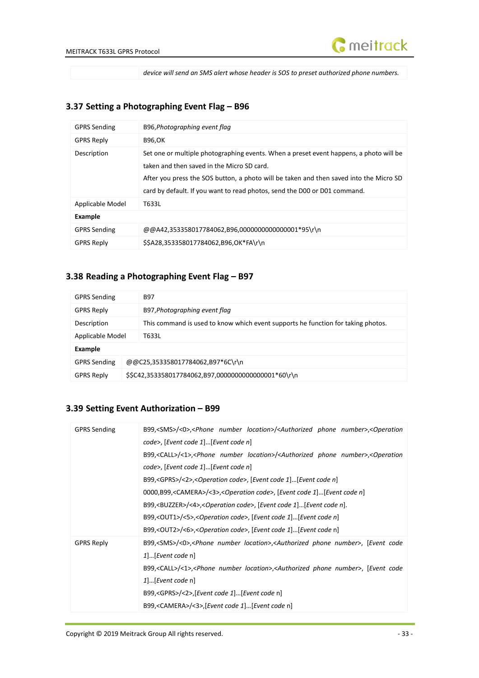

*device will send an SMS alert whose header is SOS to preset authorized phone numbers.*

# <span id="page-32-0"></span>**3.37 Setting a Photographing Event Flag – B96**

| <b>GPRS Sending</b> | B96, Photographing event flag                                                                                                                                                                                                                                                                               |
|---------------------|-------------------------------------------------------------------------------------------------------------------------------------------------------------------------------------------------------------------------------------------------------------------------------------------------------------|
| <b>GPRS Reply</b>   | <b>B96,OK</b>                                                                                                                                                                                                                                                                                               |
| Description         | Set one or multiple photographing events. When a preset event happens, a photo will be<br>taken and then saved in the Micro SD card.<br>After you press the SOS button, a photo will be taken and then saved into the Micro SD<br>card by default. If you want to read photos, send the D00 or D01 command. |
| Applicable Model    | T633L                                                                                                                                                                                                                                                                                                       |
| Example             |                                                                                                                                                                                                                                                                                                             |
| <b>GPRS Sending</b> | @@A42,353358017784062,B96,00000000000000001*95\r\n                                                                                                                                                                                                                                                          |
| <b>GPRS Reply</b>   | \$\$A28,353358017784062,B96,OK*FA\r\n                                                                                                                                                                                                                                                                       |

# <span id="page-32-1"></span>**3.38 Reading a Photographing Event Flag – B97**

| <b>GPRS Sending</b> |                                                      | <b>B97</b>                                                                       |
|---------------------|------------------------------------------------------|----------------------------------------------------------------------------------|
| <b>GPRS Reply</b>   |                                                      | B97, Photographing event flag                                                    |
| Description         |                                                      | This command is used to know which event supports he function for taking photos. |
| Applicable Model    |                                                      | T633L                                                                            |
| Example             |                                                      |                                                                                  |
| <b>GPRS Sending</b> |                                                      | @@C25,353358017784062,B97*6C\r\n                                                 |
| <b>GPRS Reply</b>   | \$\$C42,353358017784062,B97,00000000000000001*60\r\n |                                                                                  |

# <span id="page-32-2"></span>**3.39 Setting Event Authorization – B99**

| <b>GPRS Sending</b> | B99, <sms>/&lt;0&gt;,<phone location="" number="">/<authorized number="" phone="">,<operation< th=""></operation<></authorized></phone></sms>   |
|---------------------|-------------------------------------------------------------------------------------------------------------------------------------------------|
|                     | code>, [Event code 1][Event code n]                                                                                                             |
|                     | B99, <call>/&lt;1&gt;,<phone location="" number="">/<authorized number="" phone="">,<operation< td=""></operation<></authorized></phone></call> |
|                     | code>, [Event code 1][Event code n]                                                                                                             |
|                     | B99, <gprs>/&lt;2&gt;,<operation code="">, [Event code 1][Event code n]</operation></gprs>                                                      |
|                     | 0000,B99, <camera>/&lt;3&gt;,<operation code="">, [Event code 1][Event code n]</operation></camera>                                             |
|                     | B99, <buzzer>/&lt;4&gt;,<operation code="">, [Event code 1][Event code n].</operation></buzzer>                                                 |
|                     | B99, <out1>/&lt;5&gt;,<operation code="">, [Event code 1][Event code n]</operation></out1>                                                      |
|                     | B99, <out2>/&lt;6&gt;,<operation code="">, [Event code 1][Event code n]</operation></out2>                                                      |
| <b>GPRS Reply</b>   | B99, <sms>/&lt;0&gt;,<phone location="" number="">,<authorized number="" phone="">, [Event code</authorized></phone></sms>                      |
|                     | $1$ [Event code n]                                                                                                                              |
|                     | B99, <call>/&lt;1&gt;,<phone location="" number="">,<authorized number="" phone="">, [Event code</authorized></phone></call>                    |
|                     | $1$ [Event code n]                                                                                                                              |
|                     | B99, <gprs>/&lt;2&gt;,[Event code 1][Event code n]</gprs>                                                                                       |
|                     | B99, <camera>/&lt;3&gt;,[Event code 1][Event code n]</camera>                                                                                   |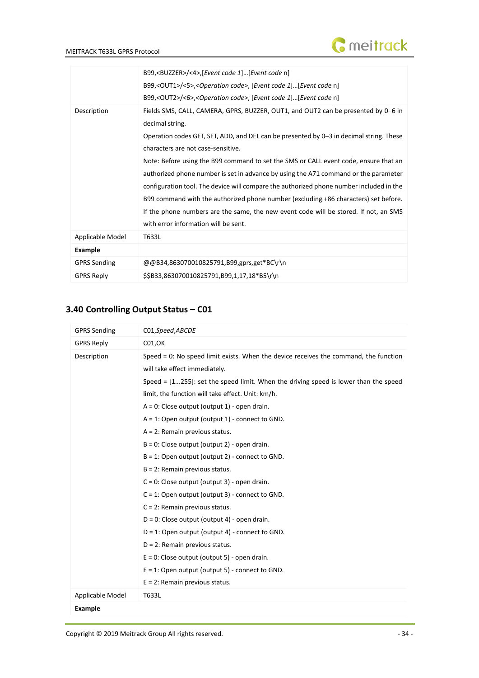

|                     | B99, <buzzer>/&lt;4&gt;,[Event code 1][Event code n]</buzzer>                              |
|---------------------|--------------------------------------------------------------------------------------------|
|                     | B99, <out1>/&lt;5&gt;,<operation code="">, [Event code 1][Event code n]</operation></out1> |
|                     | B99, <out2>/&lt;6&gt;,<operation code="">, [Event code 1][Event code n]</operation></out2> |
| Description         | Fields SMS, CALL, CAMERA, GPRS, BUZZER, OUT1, and OUT2 can be presented by 0-6 in          |
|                     | decimal string.                                                                            |
|                     | Operation codes GET, SET, ADD, and DEL can be presented by 0-3 in decimal string. These    |
|                     | characters are not case-sensitive.                                                         |
|                     | Note: Before using the B99 command to set the SMS or CALL event code, ensure that an       |
|                     | authorized phone number is set in advance by using the A71 command or the parameter        |
|                     | configuration tool. The device will compare the authorized phone number included in the    |
|                     | B99 command with the authorized phone number (excluding +86 characters) set before.        |
|                     | If the phone numbers are the same, the new event code will be stored. If not, an SMS       |
|                     | with error information will be sent.                                                       |
| Applicable Model    | T633L                                                                                      |
| <b>Example</b>      |                                                                                            |
| <b>GPRS Sending</b> | @@B34,863070010825791,B99,gprs,get*BC\r\n                                                  |
| <b>GPRS Reply</b>   | \$\$B33,863070010825791,B99,1,17,18*B5\r\n                                                 |

# <span id="page-33-0"></span>**3.40 Controlling Output Status – C01**

| <b>GPRS Sending</b> | C01,Speed,ABCDE                                                                                                                                                                                                                                                                                                                                                                                                                                                                                                                                                                                                                                                                                                                                                                                                                                                                                                                                                                                            |
|---------------------|------------------------------------------------------------------------------------------------------------------------------------------------------------------------------------------------------------------------------------------------------------------------------------------------------------------------------------------------------------------------------------------------------------------------------------------------------------------------------------------------------------------------------------------------------------------------------------------------------------------------------------------------------------------------------------------------------------------------------------------------------------------------------------------------------------------------------------------------------------------------------------------------------------------------------------------------------------------------------------------------------------|
| <b>GPRS Reply</b>   | CO1, OK                                                                                                                                                                                                                                                                                                                                                                                                                                                                                                                                                                                                                                                                                                                                                                                                                                                                                                                                                                                                    |
| Description         | Speed = 0: No speed limit exists. When the device receives the command, the function<br>will take effect immediately.<br>Speed = $[1255]$ : set the speed limit. When the driving speed is lower than the speed<br>limit, the function will take effect. Unit: km/h.<br>$A = 0$ : Close output (output 1) - open drain.<br>$A = 1$ : Open output (output 1) - connect to GND.<br>$A = 2$ : Remain previous status.<br>$B = 0$ : Close output (output 2) - open drain.<br>$B = 1$ : Open output (output 2) - connect to GND.<br>$B = 2$ : Remain previous status.<br>$C = 0$ : Close output (output 3) - open drain.<br>$C = 1$ : Open output (output 3) - connect to GND.<br>$C = 2$ : Remain previous status.<br>$D = 0$ : Close output (output 4) - open drain.<br>$D = 1$ : Open output (output 4) - connect to GND.<br>$D = 2$ : Remain previous status.<br>$E = 0$ : Close output (output 5) - open drain.<br>$E = 1$ : Open output (output 5) - connect to GND.<br>$E = 2$ : Remain previous status. |
| Applicable Model    | T633L                                                                                                                                                                                                                                                                                                                                                                                                                                                                                                                                                                                                                                                                                                                                                                                                                                                                                                                                                                                                      |
| <b>Example</b>      |                                                                                                                                                                                                                                                                                                                                                                                                                                                                                                                                                                                                                                                                                                                                                                                                                                                                                                                                                                                                            |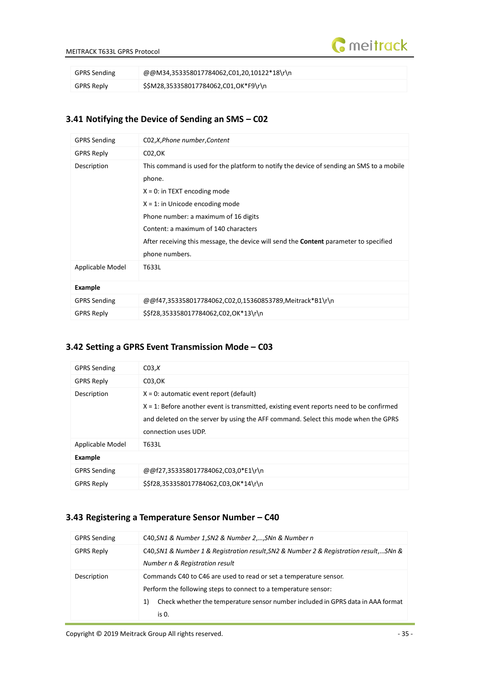

| <b>GPRS Sending</b> | @@M34,353358017784062,C01,20,10122*18\r\n |
|---------------------|-------------------------------------------|
| GPRS Reply          | \$\$M28,353358017784062,C01,OK*F9\r\n     |

## <span id="page-34-0"></span>**3.41 Notifying the Device of Sending an SMS – C02**

| <b>GPRS Sending</b> | C02,X,Phone number,Content                                                                                                                                                                                                                                                                                                                                  |
|---------------------|-------------------------------------------------------------------------------------------------------------------------------------------------------------------------------------------------------------------------------------------------------------------------------------------------------------------------------------------------------------|
| <b>GPRS Reply</b>   | CO <sub>2</sub> , OK                                                                                                                                                                                                                                                                                                                                        |
| Description         | This command is used for the platform to notify the device of sending an SMS to a mobile<br>phone.<br>$X = 0$ : in TEXT encoding mode<br>$X = 1$ : in Unicode encoding mode<br>Phone number: a maximum of 16 digits<br>Content: a maximum of 140 characters<br>After receiving this message, the device will send the <b>Content</b> parameter to specified |
|                     | phone numbers.                                                                                                                                                                                                                                                                                                                                              |
| Applicable Model    | T633L                                                                                                                                                                                                                                                                                                                                                       |
| <b>Example</b>      |                                                                                                                                                                                                                                                                                                                                                             |
| <b>GPRS Sending</b> | @@f47,353358017784062,C02,0,15360853789,Meitrack*B1\r\n                                                                                                                                                                                                                                                                                                     |
| <b>GPRS Reply</b>   | \$\$f28,353358017784062,C02,OK*13\r\n                                                                                                                                                                                                                                                                                                                       |

### <span id="page-34-1"></span>**3.42 Setting a GPRS Event Transmission Mode – C03**

| <b>GPRS Sending</b> | CO3, X                                                                                                                                                                                                                                                 |
|---------------------|--------------------------------------------------------------------------------------------------------------------------------------------------------------------------------------------------------------------------------------------------------|
| <b>GPRS Reply</b>   | C03, OK                                                                                                                                                                                                                                                |
| Description         | $X = 0$ : automatic event report (default)<br>$X = 1$ : Before another event is transmitted, existing event reports need to be confirmed<br>and deleted on the server by using the AFF command. Select this mode when the GPRS<br>connection uses UDP. |
| Applicable Model    | T633L                                                                                                                                                                                                                                                  |
| <b>Example</b>      |                                                                                                                                                                                                                                                        |
| <b>GPRS Sending</b> | @@f27,353358017784062,C03,0*E1\r\n                                                                                                                                                                                                                     |
| <b>GPRS Reply</b>   | \$\$f28,353358017784062,C03,OK*14\r\n                                                                                                                                                                                                                  |

#### <span id="page-34-2"></span>**3.43 Registering a Temperature Sensor Number – C40**

| <b>GPRS Sending</b> | C40, SN1 & Number 1, SN2 & Number 2, , SNn & Number n                                   |
|---------------------|-----------------------------------------------------------------------------------------|
| <b>GPRS Reply</b>   | C40, SN1 & Number 1 & Registration result, SN2 & Number 2 & Registration result,  SNn & |
|                     | Number n & Registration result                                                          |
| Description         | Commands C40 to C46 are used to read or set a temperature sensor.                       |
|                     | Perform the following steps to connect to a temperature sensor:                         |
|                     | Check whether the temperature sensor number included in GPRS data in AAA format<br>1)   |
|                     | is 0.                                                                                   |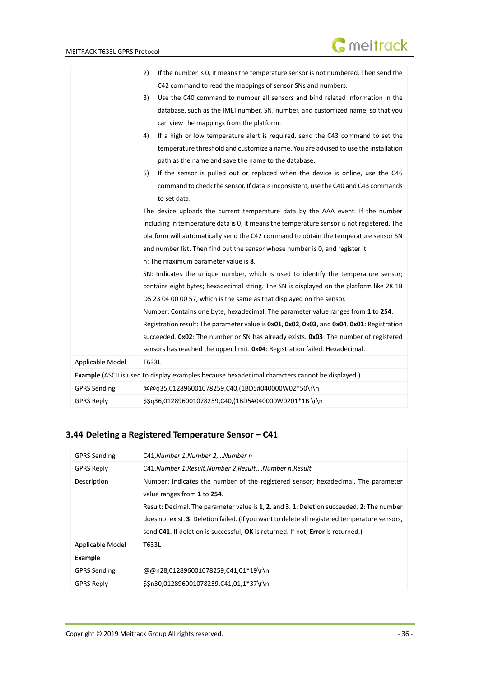|                     | If the number is 0, it means the temperature sensor is not numbered. Then send the<br>2)               |
|---------------------|--------------------------------------------------------------------------------------------------------|
|                     | C42 command to read the mappings of sensor SNs and numbers.                                            |
|                     | Use the C40 command to number all sensors and bind related information in the<br>3)                    |
|                     | database, such as the IMEI number, SN, number, and customized name, so that you                        |
|                     | can view the mappings from the platform.                                                               |
|                     | If a high or low temperature alert is required, send the C43 command to set the<br>4)                  |
|                     | temperature threshold and customize a name. You are advised to use the installation                    |
|                     | path as the name and save the name to the database.                                                    |
|                     | If the sensor is pulled out or replaced when the device is online, use the C46<br>5)                   |
|                     | command to check the sensor. If data is inconsistent, use the C40 and C43 commands                     |
|                     | to set data.                                                                                           |
|                     | The device uploads the current temperature data by the AAA event. If the number                        |
|                     | including in temperature data is 0, it means the temperature sensor is not registered. The             |
|                     | platform will automatically send the C42 command to obtain the temperature sensor SN                   |
|                     | and number list. Then find out the sensor whose number is 0, and register it.                          |
|                     | n: The maximum parameter value is 8.                                                                   |
|                     | SN: Indicates the unique number, which is used to identify the temperature sensor;                     |
|                     | contains eight bytes; hexadecimal string. The SN is displayed on the platform like 28 1B               |
|                     | D5 23 04 00 00 57, which is the same as that displayed on the sensor.                                  |
|                     | Number: Contains one byte; hexadecimal. The parameter value ranges from 1 to 254.                      |
|                     | Registration result: The parameter value is 0x01, 0x02, 0x03, and 0x04. 0x01: Registration             |
|                     | succeeded. 0x02: The number or SN has already exists. 0x03: The number of registered                   |
|                     | sensors has reached the upper limit. OxO4: Registration failed. Hexadecimal.                           |
| Applicable Model    | T633L                                                                                                  |
|                     | <b>Example</b> (ASCII is used to display examples because hexadecimal characters cannot be displayed.) |
| <b>GPRS Sending</b> | @@q35,012896001078259,C40,(1BD5#040000W02*50\r\n                                                       |
| <b>GPRS Reply</b>   | \$\$q36,012896001078259,C40,(1BD5#040000W0201*1B \r\n                                                  |

# <span id="page-35-0"></span>**3.44 Deleting a Registered Temperature Sensor – C41**

| <b>GPRS Sending</b> | C41, Number 1, Number 2, Number n                                                                                                                                                                                                                                                                                                                                                                  |
|---------------------|----------------------------------------------------------------------------------------------------------------------------------------------------------------------------------------------------------------------------------------------------------------------------------------------------------------------------------------------------------------------------------------------------|
| <b>GPRS Reply</b>   | C41, Number 1, Result, Number 2, Result,  Number n, Result                                                                                                                                                                                                                                                                                                                                         |
| Description         | Number: Indicates the number of the registered sensor; hexadecimal. The parameter<br>value ranges from 1 to 254.<br>Result: Decimal. The parameter value is 1, 2, and 3.1: Deletion succeeded. 2: The number<br>does not exist. 3: Deletion failed. (If you want to delete all registered temperature sensors,<br>send C41. If deletion is successful, OK is returned. If not, Error is returned.) |
| Applicable Model    | T633L                                                                                                                                                                                                                                                                                                                                                                                              |
| <b>Example</b>      |                                                                                                                                                                                                                                                                                                                                                                                                    |
| <b>GPRS Sending</b> | @@n28,012896001078259,C41,01*19\r\n                                                                                                                                                                                                                                                                                                                                                                |
| <b>GPRS Reply</b>   | \$\$n30,012896001078259,C41,01,1*37\r\n                                                                                                                                                                                                                                                                                                                                                            |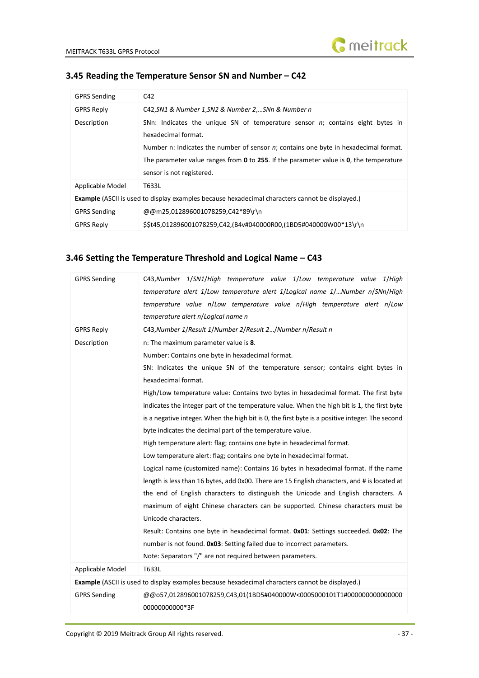

| <b>GPRS Sending</b>                                                                                    | C42                                                                                                                                                                                                                                                                                                                    |
|--------------------------------------------------------------------------------------------------------|------------------------------------------------------------------------------------------------------------------------------------------------------------------------------------------------------------------------------------------------------------------------------------------------------------------------|
| <b>GPRS Reply</b>                                                                                      | C42, SN1 & Number 1, SN2 & Number 2, SNn & Number n                                                                                                                                                                                                                                                                    |
| Description                                                                                            | SNn: Indicates the unique SN of temperature sensor n; contains eight bytes in<br>hexadecimal format.<br>Number n: Indicates the number of sensor $n$ ; contains one byte in hexadecimal format.<br>The parameter value ranges from 0 to 255. If the parameter value is 0, the temperature<br>sensor is not registered. |
| Applicable Model                                                                                       | T633L                                                                                                                                                                                                                                                                                                                  |
| <b>Example</b> (ASCII is used to display examples because hexadecimal characters cannot be displayed.) |                                                                                                                                                                                                                                                                                                                        |
| <b>GPRS Sending</b>                                                                                    | @@m25,012896001078259,C42*89\r\n                                                                                                                                                                                                                                                                                       |
| <b>GPRS Reply</b>                                                                                      | \$\$t45,012896001078259,C42,(B4v#040000R00,(1BD5#040000W00*13\r\n                                                                                                                                                                                                                                                      |

#### <span id="page-36-0"></span>**3.45 Reading the Temperature Sensor SN and Number – C42**

# <span id="page-36-1"></span>**3.46 Setting the Temperature Threshold and Logical Name – C43**

| <b>GPRS Sending</b> | C43, Number 1/SN1/High temperature value 1/Low temperature value 1/High<br>temperature alert 1/Low temperature alert 1/Logical name 1/Number n/SNn/High<br>temperature value n/Low temperature value n/High temperature alert n/Low<br>temperature alert n/Logical name n                                                                                                                                                                                                                                                                                                                                                                                                                                                                                                                                                                                                                                                                                                                                                                                                                                                                                                                                                                                                                                                           |
|---------------------|-------------------------------------------------------------------------------------------------------------------------------------------------------------------------------------------------------------------------------------------------------------------------------------------------------------------------------------------------------------------------------------------------------------------------------------------------------------------------------------------------------------------------------------------------------------------------------------------------------------------------------------------------------------------------------------------------------------------------------------------------------------------------------------------------------------------------------------------------------------------------------------------------------------------------------------------------------------------------------------------------------------------------------------------------------------------------------------------------------------------------------------------------------------------------------------------------------------------------------------------------------------------------------------------------------------------------------------|
| <b>GPRS Reply</b>   | C43, Number 1/Result 1/Number 2/Result 2/Number n/Result n                                                                                                                                                                                                                                                                                                                                                                                                                                                                                                                                                                                                                                                                                                                                                                                                                                                                                                                                                                                                                                                                                                                                                                                                                                                                          |
| Description         | n: The maximum parameter value is 8.<br>Number: Contains one byte in hexadecimal format.<br>SN: Indicates the unique SN of the temperature sensor; contains eight bytes in<br>hexadecimal format.<br>High/Low temperature value: Contains two bytes in hexadecimal format. The first byte<br>indicates the integer part of the temperature value. When the high bit is 1, the first byte<br>is a negative integer. When the high bit is 0, the first byte is a positive integer. The second<br>byte indicates the decimal part of the temperature value.<br>High temperature alert: flag; contains one byte in hexadecimal format.<br>Low temperature alert: flag; contains one byte in hexadecimal format.<br>Logical name (customized name): Contains 16 bytes in hexadecimal format. If the name<br>length is less than 16 bytes, add 0x00. There are 15 English characters, and # is located at<br>the end of English characters to distinguish the Unicode and English characters. A<br>maximum of eight Chinese characters can be supported. Chinese characters must be<br>Unicode characters.<br>Result: Contains one byte in hexadecimal format. 0x01: Settings succeeded. 0x02: The<br>number is not found. Ox03: Setting failed due to incorrect parameters.<br>Note: Separators "/" are not required between parameters. |
| Applicable Model    | T633L                                                                                                                                                                                                                                                                                                                                                                                                                                                                                                                                                                                                                                                                                                                                                                                                                                                                                                                                                                                                                                                                                                                                                                                                                                                                                                                               |
|                     | Example (ASCII is used to display examples because hexadecimal characters cannot be displayed.)                                                                                                                                                                                                                                                                                                                                                                                                                                                                                                                                                                                                                                                                                                                                                                                                                                                                                                                                                                                                                                                                                                                                                                                                                                     |
| <b>GPRS Sending</b> | @@o57,012896001078259,C43,01(1BD5#040000W<0005000101T1#000000000000000<br>00000000000*3F                                                                                                                                                                                                                                                                                                                                                                                                                                                                                                                                                                                                                                                                                                                                                                                                                                                                                                                                                                                                                                                                                                                                                                                                                                            |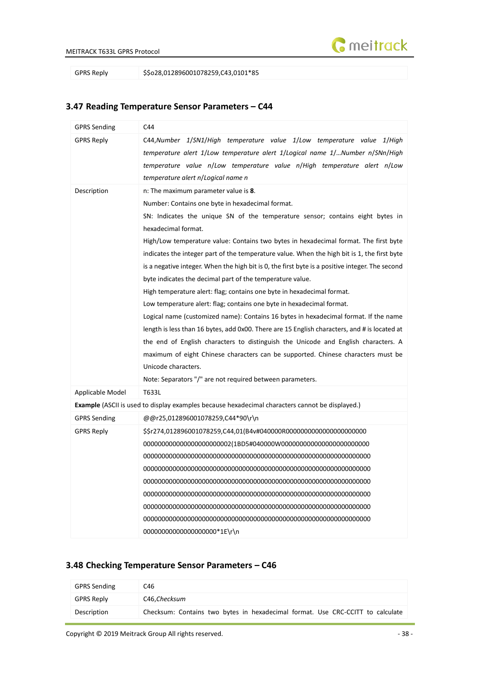

GPRS Reply \$\$028,012896001078259,C43,0101\*85

# GPRS Sending C44 GPRS Reply C44,*Number 1*/*SN1*/*High temperature value 1*/*Low temperature value 1*/*High temperature alert 1*/*Low temperature alert 1*/*Logical name 1*/…*Number n*/*SNn*/*High temperature value n*/*Low temperature value n*/*High temperature alert n*/*Low temperature alert n*/*Logical name n* Description **n:** The maximum parameter value is **8**. Number: Contains one byte in hexadecimal format. SN: Indicates the unique SN of the temperature sensor; contains eight bytes in hexadecimal format. High/Low temperature value: Contains two bytes in hexadecimal format. The first byte indicates the integer part of the temperature value. When the high bit is 1, the first byte is a negative integer. When the high bit is 0, the first byte is a positive integer. The second byte indicates the decimal part of the temperature value. High temperature alert: flag; contains one byte in hexadecimal format. Low temperature alert: flag; contains one byte in hexadecimal format. Logical name (customized name): Contains 16 bytes in hexadecimal format. If the name length is less than 16 bytes, add 0x00. There are 15 English characters, and # is located at the end of English characters to distinguish the Unicode and English characters. A maximum of eight Chinese characters can be supported. Chinese characters must be Unicode characters. Note: Separators "/" are not required between parameters. Applicable Model | T633L **Example** (ASCII is used to display examples because hexadecimal characters cannot be displayed.) GPRS Sending @@r25,012896001078259,C44\*90\r\n GPRS Reply \$\$r274,012896001078259,C44,01(B4v#040000R0000000000000000000000 000000000000000000000002(1BD5#040000W000000000000000000000000 00000000000000000000000000000000000000000000000000000000000000 00000000000000000000000000000000000000000000000000000000000000 00000000000000000000000000000000000000000000000000000000000000 00000000000000000000000000000000000000000000000000000000000000 00000000000000000000000000000000000000000000000000000000000000 00000000000000000000000000000000000000000000000000000000000000 00000000000000000000\*1E\r\n

#### <span id="page-37-0"></span>**3.47 Reading Temperature Sensor Parameters – C44**

#### <span id="page-37-1"></span>**3.48 Checking Temperature Sensor Parameters – C46**

| <b>GPRS Sending</b> | C46                                                                            |
|---------------------|--------------------------------------------------------------------------------|
| <b>GPRS Reply</b>   | C46, Checksum                                                                  |
| Description         | Checksum: Contains two bytes in hexadecimal format. Use CRC-CCITT to calculate |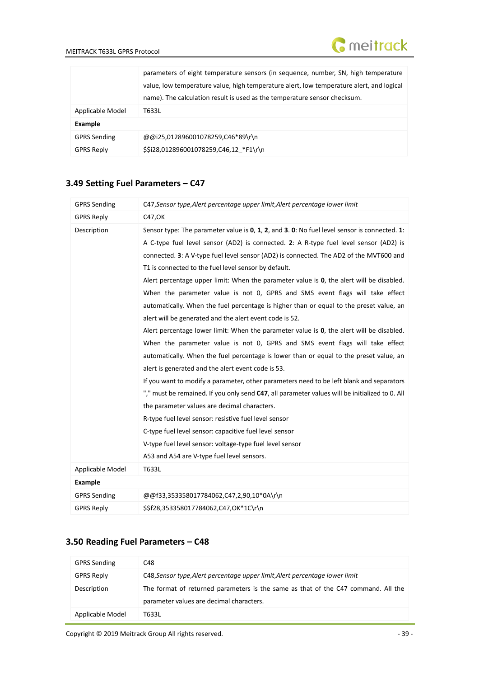|                     | parameters of eight temperature sensors (in sequence, number, SN, high temperature       |
|---------------------|------------------------------------------------------------------------------------------|
|                     | value, low temperature value, high temperature alert, low temperature alert, and logical |
|                     | name). The calculation result is used as the temperature sensor checksum.                |
| Applicable Model    | T633L                                                                                    |
| Example             |                                                                                          |
| <b>GPRS Sending</b> | @@i25,012896001078259,C46*89\r\n                                                         |
| <b>GPRS Reply</b>   | \$\$i28,012896001078259,C46,12 *F1\r\n                                                   |

# <span id="page-38-0"></span>**3.49 Setting Fuel Parameters – C47**

| <b>GPRS Sending</b> | C47, Sensor type, Alert percentage upper limit, Alert percentage lower limit                   |
|---------------------|------------------------------------------------------------------------------------------------|
| <b>GPRS Reply</b>   | C47,OK                                                                                         |
| Description         | Sensor type: The parameter value is 0, 1, 2, and 3. 0: No fuel level sensor is connected. 1:   |
|                     | A C-type fuel level sensor (AD2) is connected. 2: A R-type fuel level sensor (AD2) is          |
|                     | connected. 3: A V-type fuel level sensor (AD2) is connected. The AD2 of the MVT600 and         |
|                     | T1 is connected to the fuel level sensor by default.                                           |
|                     | Alert percentage upper limit: When the parameter value is 0, the alert will be disabled.       |
|                     | When the parameter value is not 0, GPRS and SMS event flags will take effect                   |
|                     | automatically. When the fuel percentage is higher than or equal to the preset value, an        |
|                     | alert will be generated and the alert event code is 52.                                        |
|                     | Alert percentage lower limit: When the parameter value is 0, the alert will be disabled.       |
|                     | When the parameter value is not 0, GPRS and SMS event flags will take effect                   |
|                     | automatically. When the fuel percentage is lower than or equal to the preset value, an         |
|                     | alert is generated and the alert event code is 53.                                             |
|                     | If you want to modify a parameter, other parameters need to be left blank and separators       |
|                     | "," must be remained. If you only send C47, all parameter values will be initialized to 0. All |
|                     | the parameter values are decimal characters.                                                   |
|                     | R-type fuel level sensor: resistive fuel level sensor                                          |
|                     | C-type fuel level sensor: capacitive fuel level sensor                                         |
|                     | V-type fuel level sensor: voltage-type fuel level sensor                                       |
|                     | A53 and A54 are V-type fuel level sensors.                                                     |
| Applicable Model    | T633L                                                                                          |
| <b>Example</b>      |                                                                                                |
| <b>GPRS Sending</b> | @@f33,353358017784062,C47,2,90,10*0A\r\n                                                       |
| <b>GPRS Reply</b>   | \$\$f28,353358017784062,C47,OK*1C\r\n                                                          |

# <span id="page-38-1"></span>**3.50 Reading Fuel Parameters – C48**

| <b>GPRS Sending</b> | C48                                                                                                                           |
|---------------------|-------------------------------------------------------------------------------------------------------------------------------|
| <b>GPRS Reply</b>   | C48, Sensor type, Alert percentage upper limit, Alert percentage lower limit                                                  |
| Description         | The format of returned parameters is the same as that of the C47 command. All the<br>parameter values are decimal characters. |
| Applicable Model    | T633L                                                                                                                         |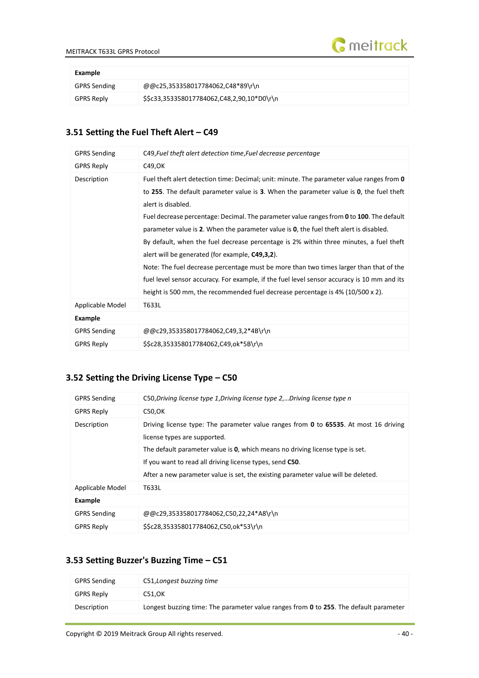

| Example   |
|-----------|
| GPRS Send |

| ---------    |                                            |
|--------------|--------------------------------------------|
| GPRS Sending | @@c25,353358017784062,C48*89\r\n           |
| GPRS Reply   | \$\$c33,353358017784062,C48,2,90,10*D0\r\n |

# <span id="page-39-0"></span>**3.51 Setting the Fuel Theft Alert – C49**

| <b>GPRS Sending</b> | C49, Fuel theft alert detection time, Fuel decrease percentage                              |
|---------------------|---------------------------------------------------------------------------------------------|
| <b>GPRS Reply</b>   | C49,OK                                                                                      |
| Description         | Fuel theft alert detection time: Decimal; unit: minute. The parameter value ranges from 0   |
|                     | to 255. The default parameter value is 3. When the parameter value is 0, the fuel theft     |
|                     | alert is disabled.                                                                          |
|                     | Fuel decrease percentage: Decimal. The parameter value ranges from 0 to 100. The default    |
|                     | parameter value is 2. When the parameter value is 0, the fuel theft alert is disabled.      |
|                     | By default, when the fuel decrease percentage is 2% within three minutes, a fuel theft      |
|                     | alert will be generated (for example, C49,3,2).                                             |
|                     | Note: The fuel decrease percentage must be more than two times larger than that of the      |
|                     | fuel level sensor accuracy. For example, if the fuel level sensor accuracy is 10 mm and its |
|                     | height is 500 mm, the recommended fuel decrease percentage is 4% (10/500 x 2).              |
| Applicable Model    | T633L                                                                                       |
| Example             |                                                                                             |
| <b>GPRS Sending</b> | @@c29,353358017784062,C49,3,2*4B\r\n                                                        |
| <b>GPRS Reply</b>   | \$\$c28,353358017784062,C49,ok*5B\r\n                                                       |

# <span id="page-39-1"></span>**3.52 Setting the Driving License Type – C50**

| <b>GPRS Sending</b> | C50, Driving license type 1, Driving license type 2, Driving license type n                                                                                                                                                                                                                                                                            |
|---------------------|--------------------------------------------------------------------------------------------------------------------------------------------------------------------------------------------------------------------------------------------------------------------------------------------------------------------------------------------------------|
| <b>GPRS Reply</b>   | C50, OK                                                                                                                                                                                                                                                                                                                                                |
| Description         | Driving license type: The parameter value ranges from 0 to 65535. At most 16 driving<br>license types are supported.<br>The default parameter value is 0, which means no driving license type is set.<br>If you want to read all driving license types, send C50.<br>After a new parameter value is set, the existing parameter value will be deleted. |
| Applicable Model    | T633L                                                                                                                                                                                                                                                                                                                                                  |
| <b>Example</b>      |                                                                                                                                                                                                                                                                                                                                                        |
| <b>GPRS Sending</b> | @@c29,353358017784062,C50,22,24*A8\r\n                                                                                                                                                                                                                                                                                                                 |
| <b>GPRS Reply</b>   | \$\$c28,353358017784062,C50,ok*53\r\n                                                                                                                                                                                                                                                                                                                  |

# <span id="page-39-2"></span>**3.53 Setting Buzzer's Buzzing Time – C51**

| <b>GPRS Sending</b> | C51, Longest buzzing time                                                             |
|---------------------|---------------------------------------------------------------------------------------|
| <b>GPRS Reply</b>   | C51.OK                                                                                |
| Description         | Longest buzzing time: The parameter value ranges from 0 to 255. The default parameter |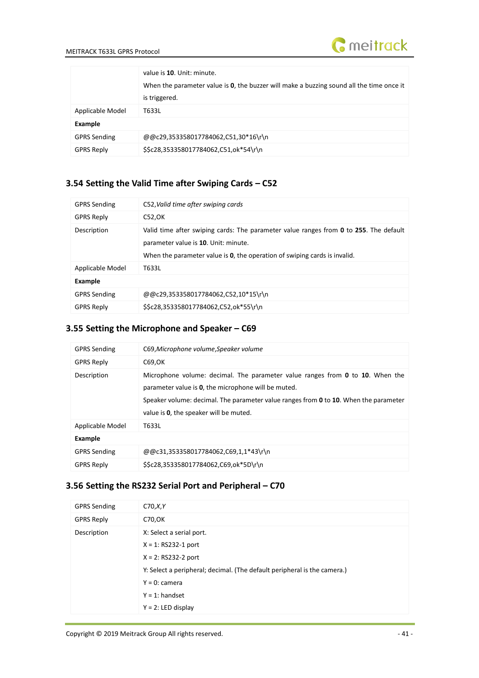

|                     | value is 10. Unit: minute.<br>When the parameter value is <b>0</b> , the buzzer will make a buzzing sound all the time once it<br>is triggered. |
|---------------------|-------------------------------------------------------------------------------------------------------------------------------------------------|
| Applicable Model    | T633L                                                                                                                                           |
| Example             |                                                                                                                                                 |
| <b>GPRS Sending</b> | @@c29,353358017784062,C51,30*16\r\n                                                                                                             |
| <b>GPRS Reply</b>   | \$\$c28,353358017784062,C51,ok*54\r\n                                                                                                           |

#### <span id="page-40-0"></span>**3.54 Setting the Valid Time after Swiping Cards – C52**

| <b>GPRS Sending</b> | C52, Valid time after swiping cards                                                                                                                                                                        |
|---------------------|------------------------------------------------------------------------------------------------------------------------------------------------------------------------------------------------------------|
| <b>GPRS Reply</b>   | C52, OK                                                                                                                                                                                                    |
| Description         | Valid time after swiping cards: The parameter value ranges from 0 to 255. The default<br>parameter value is 10. Unit: minute.<br>When the parameter value is 0, the operation of swiping cards is invalid. |
| Applicable Model    | T633L                                                                                                                                                                                                      |
| Example             |                                                                                                                                                                                                            |
| <b>GPRS Sending</b> | @@c29,353358017784062,C52,10*15\r\n                                                                                                                                                                        |
| <b>GPRS Reply</b>   | \$\$c28,353358017784062,C52,ok*55\r\n                                                                                                                                                                      |

# <span id="page-40-1"></span>**3.55 Setting the Microphone and Speaker – C69**

# <span id="page-40-2"></span>**3.56 Setting the RS232 Serial Port and Peripheral – C70**

| <b>GPRS Sending</b> | C70, X, Y                                                                |
|---------------------|--------------------------------------------------------------------------|
| <b>GPRS Reply</b>   | C70, OK                                                                  |
| Description         | X: Select a serial port.                                                 |
|                     | $X = 1$ : RS232-1 port                                                   |
|                     | $X = 2$ : RS232-2 port                                                   |
|                     | Y: Select a peripheral; decimal. (The default peripheral is the camera.) |
|                     | $Y = 0$ : camera                                                         |
|                     | $Y = 1$ : handset                                                        |
|                     | $Y = 2$ : LED display                                                    |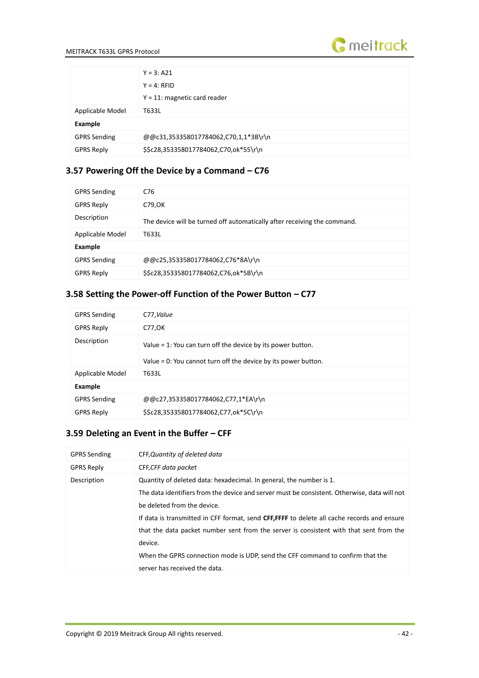

|                     | $Y = 3: A21$                          |
|---------------------|---------------------------------------|
|                     | $Y = 4$ : RFID                        |
|                     | $Y = 11$ : magnetic card reader       |
| Applicable Model    | T633L                                 |
| Example             |                                       |
| <b>GPRS Sending</b> | @@c31,353358017784062,C70,1,1*3B\r\n  |
| <b>GPRS Reply</b>   | \$\$c28,353358017784062,C70,ok*55\r\n |

### <span id="page-41-0"></span>**3.57 Powering Off the Device by a Command – C76**

| <b>GPRS Sending</b> | C76                                                                      |
|---------------------|--------------------------------------------------------------------------|
| <b>GPRS Reply</b>   | C79, OK                                                                  |
| Description         | The device will be turned off automatically after receiving the command. |
| Applicable Model    | T633L                                                                    |
| Example             |                                                                          |
| <b>GPRS Sending</b> | @@c25,353358017784062,C76*8A\r\n                                         |
| <b>GPRS Reply</b>   | \$\$c28,353358017784062,C76,ok*5B\r\n                                    |

# <span id="page-41-1"></span>**3.58 Setting the Power-off Function of the Power Button – C77**

| <b>GPRS Sending</b> | C77, Value                                                                                                                    |
|---------------------|-------------------------------------------------------------------------------------------------------------------------------|
| <b>GPRS Reply</b>   | C77, OK                                                                                                                       |
| Description         | Value = 1: You can turn off the device by its power button.<br>Value = 0: You cannot turn off the device by its power button. |
| Applicable Model    | T633L                                                                                                                         |
| Example             |                                                                                                                               |
| <b>GPRS Sending</b> | @@c27,353358017784062,C77,1*EA\r\n                                                                                            |
| <b>GPRS Reply</b>   | \$\$c28,353358017784062,C77,ok*5C\r\n                                                                                         |

# <span id="page-41-2"></span>**3.59 Deleting an Event in the Buffer – CFF**

| <b>GPRS Sending</b> | CFF, Quantity of deleted data                                                                |
|---------------------|----------------------------------------------------------------------------------------------|
| <b>GPRS Reply</b>   | CFF, CFF data packet                                                                         |
| Description         | Quantity of deleted data: hexadecimal. In general, the number is 1.                          |
|                     | The data identifiers from the device and server must be consistent. Otherwise, data will not |
|                     | be deleted from the device.                                                                  |
|                     | If data is transmitted in CFF format, send CFF,FFFF to delete all cache records and ensure   |
|                     | that the data packet number sent from the server is consistent with that sent from the       |
|                     | device.                                                                                      |
|                     | When the GPRS connection mode is UDP, send the CFF command to confirm that the               |
|                     | server has received the data.                                                                |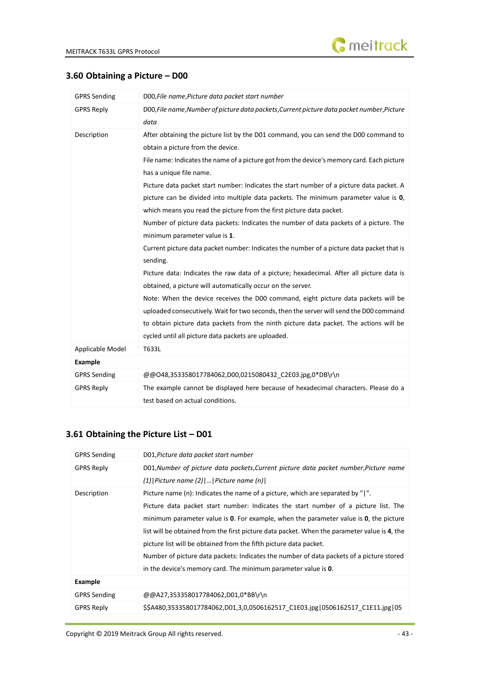#### <span id="page-42-0"></span>**3.60 Obtaining a Picture – D00**

| <b>GPRS Sending</b> | D00, File name, Picture data packet start number                                                                                                                                                                                                                                                                                                                                                                                                                                                                                                                                                                                                                                                                                                                                                                                                                                                                                                                                                                                                                                                                                                                                                                                                 |
|---------------------|--------------------------------------------------------------------------------------------------------------------------------------------------------------------------------------------------------------------------------------------------------------------------------------------------------------------------------------------------------------------------------------------------------------------------------------------------------------------------------------------------------------------------------------------------------------------------------------------------------------------------------------------------------------------------------------------------------------------------------------------------------------------------------------------------------------------------------------------------------------------------------------------------------------------------------------------------------------------------------------------------------------------------------------------------------------------------------------------------------------------------------------------------------------------------------------------------------------------------------------------------|
| <b>GPRS Reply</b>   | D00, File name, Number of picture data packets, Current picture data packet number, Picture<br>data                                                                                                                                                                                                                                                                                                                                                                                                                                                                                                                                                                                                                                                                                                                                                                                                                                                                                                                                                                                                                                                                                                                                              |
| Description         | After obtaining the picture list by the D01 command, you can send the D00 command to<br>obtain a picture from the device.<br>File name: Indicates the name of a picture got from the device's memory card. Each picture<br>has a unique file name.<br>Picture data packet start number: Indicates the start number of a picture data packet. A<br>picture can be divided into multiple data packets. The minimum parameter value is 0,<br>which means you read the picture from the first picture data packet.<br>Number of picture data packets: Indicates the number of data packets of a picture. The<br>minimum parameter value is 1.<br>Current picture data packet number: Indicates the number of a picture data packet that is<br>sending.<br>Picture data: Indicates the raw data of a picture; hexadecimal. After all picture data is<br>obtained, a picture will automatically occur on the server.<br>Note: When the device receives the D00 command, eight picture data packets will be<br>uploaded consecutively. Wait for two seconds, then the server will send the D00 command<br>to obtain picture data packets from the ninth picture data packet. The actions will be<br>cycled until all picture data packets are uploaded. |
| Applicable Model    | T633L                                                                                                                                                                                                                                                                                                                                                                                                                                                                                                                                                                                                                                                                                                                                                                                                                                                                                                                                                                                                                                                                                                                                                                                                                                            |
| <b>Example</b>      |                                                                                                                                                                                                                                                                                                                                                                                                                                                                                                                                                                                                                                                                                                                                                                                                                                                                                                                                                                                                                                                                                                                                                                                                                                                  |
| <b>GPRS Sending</b> | @@O48,353358017784062,D00,0215080432 C2E03.jpg,0*DB\r\n                                                                                                                                                                                                                                                                                                                                                                                                                                                                                                                                                                                                                                                                                                                                                                                                                                                                                                                                                                                                                                                                                                                                                                                          |
| <b>GPRS Reply</b>   | The example cannot be displayed here because of hexadecimal characters. Please do a<br>test based on actual conditions.                                                                                                                                                                                                                                                                                                                                                                                                                                                                                                                                                                                                                                                                                                                                                                                                                                                                                                                                                                                                                                                                                                                          |

# <span id="page-42-1"></span>**3.61 Obtaining the Picture List – D01**

| <b>GPRS Sending</b> | D01, Picture data packet start number                                                        |
|---------------------|----------------------------------------------------------------------------------------------|
| <b>GPRS Reply</b>   | D01, Number of picture data packets, Current picture data packet number, Picture name        |
|                     | $(1)$   Picture name $(2)$      Picture name $(n)$                                           |
| Description         | Picture name (n): Indicates the name of a picture, which are separated by " ".               |
|                     | Picture data packet start number: Indicates the start number of a picture list. The          |
|                     | minimum parameter value is 0. For example, when the parameter value is 0, the picture        |
|                     | list will be obtained from the first picture data packet. When the parameter value is 4, the |
|                     | picture list will be obtained from the fifth picture data packet.                            |
|                     | Number of picture data packets: Indicates the number of data packets of a picture stored     |
|                     | in the device's memory card. The minimum parameter value is 0.                               |
| Example             |                                                                                              |
| <b>GPRS Sending</b> | @@A27,353358017784062,D01,0*BB\r\n                                                           |
| <b>GPRS Reply</b>   | \$\$A480,353358017784062,D01,3,0,0506162517_C1E03.jpg 0506162517_C1E11.jpg 05                |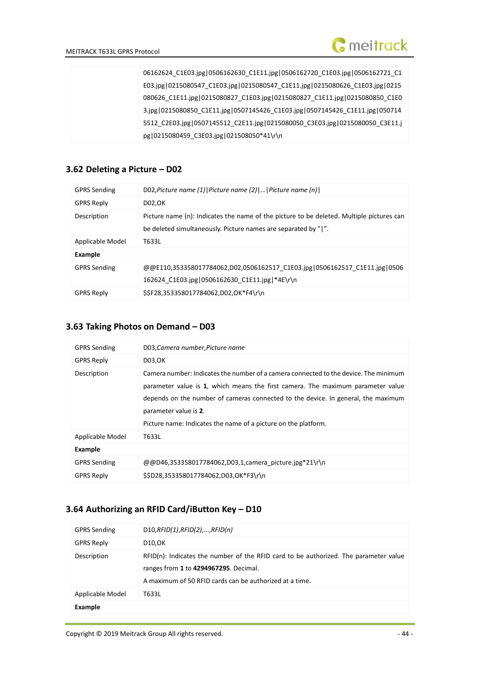

06162624\_C1E03.jpg|0506162630\_C1E11.jpg|0506162720\_C1E03.jpg|0506162721\_C1 E03.jpg|0215080547\_C1E03.jpg|0215080547\_C1E11.jpg|0215080626\_C1E03.jpg|0215 080626\_C1E11.jpg|0215080827\_C1E03.jpg|0215080827\_C1E11.jpg|0215080850\_C1E0 3.jpg|0215080850\_C1E11.jpg|0507145426\_C1E03.jpg|0507145426\_C1E11.jpg|050714 5512\_C2E03.jpg|0507145512\_C2E11.jpg|0215080050\_C3E03.jpg|0215080050\_C3E11.j pg|0215080459\_C3E03.jpg|021508050\*41\r\n

#### <span id="page-43-0"></span>**3.62 Deleting a Picture – D02**

| <b>GPRS Sending</b> | D02, Picture name (1)   Picture name (2)      Picture name (n)                           |
|---------------------|------------------------------------------------------------------------------------------|
| <b>GPRS Reply</b>   | D02, OK                                                                                  |
| Description         | Picture name (n): Indicates the name of the picture to be deleted. Multiple pictures can |
|                     | be deleted simultaneously. Picture names are separated by " ".                           |
| Applicable Model    | T633L                                                                                    |
| <b>Example</b>      |                                                                                          |
| <b>GPRS Sending</b> | @@E110,353358017784062,D02,0506162517 C1E03.jpg 0506162517 C1E11.jpg 0506                |
|                     | 162624 C1E03.jpg 0506162630 C1E11.jpg *4E\r\n                                            |
| <b>GPRS Reply</b>   | \$\$F28,353358017784062,D02,OK*F4\r\n                                                    |

#### <span id="page-43-1"></span>**3.63 Taking Photos on Demand – D03**

| <b>GPRS Sending</b> | D03, Camera number, Picture name                                                                                                                                                                                                                                                                                                                        |
|---------------------|---------------------------------------------------------------------------------------------------------------------------------------------------------------------------------------------------------------------------------------------------------------------------------------------------------------------------------------------------------|
| <b>GPRS Reply</b>   | D03, OK                                                                                                                                                                                                                                                                                                                                                 |
| Description         | Camera number: Indicates the number of a camera connected to the device. The minimum<br>parameter value is 1, which means the first camera. The maximum parameter value<br>depends on the number of cameras connected to the device. In general, the maximum<br>parameter value is 2.<br>Picture name: Indicates the name of a picture on the platform. |
| Applicable Model    | T633L                                                                                                                                                                                                                                                                                                                                                   |
| <b>Example</b>      |                                                                                                                                                                                                                                                                                                                                                         |
| <b>GPRS Sending</b> | @@D46,353358017784062,D03,1,camera picture.jpg*21\r\n                                                                                                                                                                                                                                                                                                   |
| <b>GPRS Reply</b>   | \$\$D28,353358017784062,D03,OK*F3\r\n                                                                                                                                                                                                                                                                                                                   |

#### <span id="page-43-2"></span>**3.64 Authorizing an RFID Card/iButton Key – D10**

| <b>GPRS Sending</b> | D10,RFID(1),RFID(2),,RFID(n)                                                                                                                                                               |
|---------------------|--------------------------------------------------------------------------------------------------------------------------------------------------------------------------------------------|
| <b>GPRS Reply</b>   | D10, OK                                                                                                                                                                                    |
| Description         | $RFD(n)$ : Indicates the number of the RFID card to be authorized. The parameter value<br>ranges from 1 to 4294967295. Decimal.<br>A maximum of 50 RFID cards can be authorized at a time. |
| Applicable Model    | T633L                                                                                                                                                                                      |
| Example             |                                                                                                                                                                                            |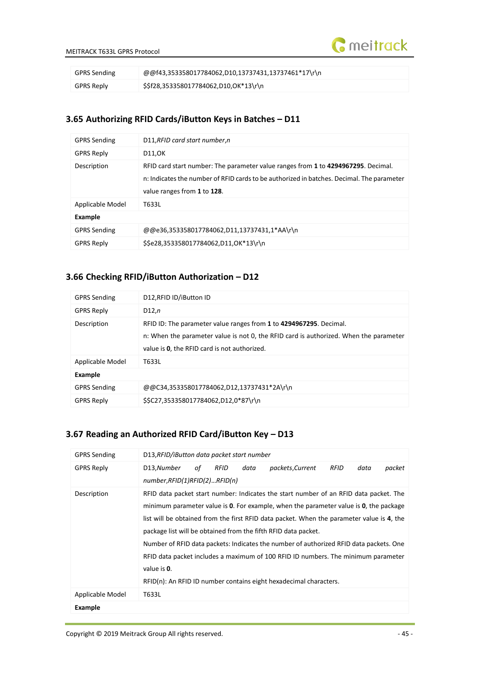

| <b>GPRS Sending</b> | @@f43,353358017784062,D10,13737431,13737461*17\r\n |
|---------------------|----------------------------------------------------|
| GPRS Reply          | \$\$f28,353358017784062,D10,OK*13\r\n              |

#### <span id="page-44-0"></span>**3.65 Authorizing RFID Cards/iButton Keys in Batches – D11**

| <b>GPRS Sending</b> | D11, RFID card start number, n                                                                                                                                                                                |  |
|---------------------|---------------------------------------------------------------------------------------------------------------------------------------------------------------------------------------------------------------|--|
| <b>GPRS Reply</b>   | D11,0K                                                                                                                                                                                                        |  |
| Description         | RFID card start number: The parameter value ranges from 1 to 4294967295. Decimal.<br>n: Indicates the number of RFID cards to be authorized in batches. Decimal. The parameter<br>value ranges from 1 to 128. |  |
| Applicable Model    | T633L                                                                                                                                                                                                         |  |
| <b>Example</b>      |                                                                                                                                                                                                               |  |
| <b>GPRS Sending</b> | @@e36,353358017784062,D11,13737431,1*AA\r\n                                                                                                                                                                   |  |
| <b>GPRS Reply</b>   | \$\$e28,353358017784062,D11,OK*13\r\n                                                                                                                                                                         |  |

#### <span id="page-44-1"></span>**3.66 Checking RFID/iButton Authorization – D12**

| <b>GPRS Sending</b> | D12, RFID ID/iButton ID                                                                                                                                                                                     |  |
|---------------------|-------------------------------------------------------------------------------------------------------------------------------------------------------------------------------------------------------------|--|
| <b>GPRS Reply</b>   | D12,n                                                                                                                                                                                                       |  |
| Description         | RFID ID: The parameter value ranges from 1 to 4294967295. Decimal.<br>n: When the parameter value is not 0, the RFID card is authorized. When the parameter<br>value is 0, the RFID card is not authorized. |  |
| Applicable Model    | T633L                                                                                                                                                                                                       |  |
| <b>Example</b>      |                                                                                                                                                                                                             |  |
| <b>GPRS Sending</b> | @@C34,353358017784062,D12,13737431*2A\r\n                                                                                                                                                                   |  |
| <b>GPRS Reply</b>   | \$\$C27,353358017784062,D12,0*87\r\n                                                                                                                                                                        |  |

# <span id="page-44-2"></span>**3.67 Reading an Authorized RFID Card/iButton Key – D13**

| <b>GPRS Sending</b> | D13, RFID/iButton data packet start number                                                                                                                                                                                                                                                                                                                                                                                                                                                                                                                                                                             |
|---------------------|------------------------------------------------------------------------------------------------------------------------------------------------------------------------------------------------------------------------------------------------------------------------------------------------------------------------------------------------------------------------------------------------------------------------------------------------------------------------------------------------------------------------------------------------------------------------------------------------------------------------|
| <b>GPRS Reply</b>   | packets, Current<br>D13,Number<br>RFID<br>RFID<br>data<br>packet<br>of<br>data                                                                                                                                                                                                                                                                                                                                                                                                                                                                                                                                         |
|                     | number, RFID(1)RFID(2)RFID(n)                                                                                                                                                                                                                                                                                                                                                                                                                                                                                                                                                                                          |
| Description         | RFID data packet start number: Indicates the start number of an RFID data packet. The<br>minimum parameter value is $0$ . For example, when the parameter value is $0$ , the package<br>list will be obtained from the first RFID data packet. When the parameter value is 4, the<br>package list will be obtained from the fifth RFID data packet.<br>Number of RFID data packets: Indicates the number of authorized RFID data packets. One<br>RFID data packet includes a maximum of 100 RFID ID numbers. The minimum parameter<br>value is 0.<br>RFID(n): An RFID ID number contains eight hexadecimal characters. |
| Applicable Model    | T633L                                                                                                                                                                                                                                                                                                                                                                                                                                                                                                                                                                                                                  |
| <b>Example</b>      |                                                                                                                                                                                                                                                                                                                                                                                                                                                                                                                                                                                                                        |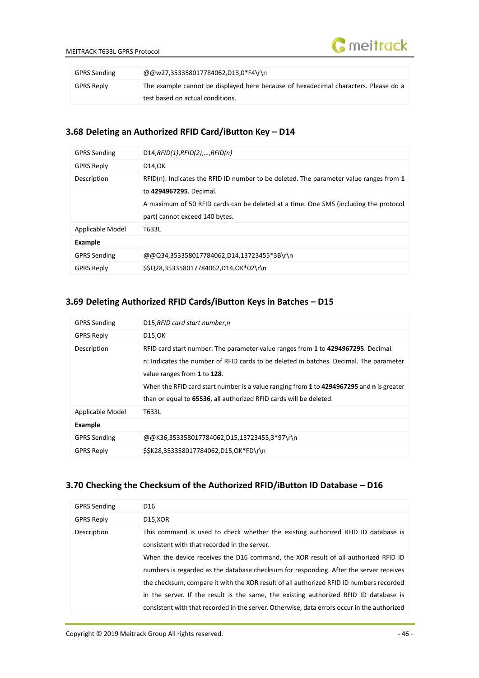

| <b>GPRS Sending</b> | @@w27,353358017784062,D13,0*F4\r\n                                                  |
|---------------------|-------------------------------------------------------------------------------------|
| <b>GPRS Reply</b>   | The example cannot be displayed here because of hexadecimal characters. Please do a |
|                     | test based on actual conditions.                                                    |

#### <span id="page-45-0"></span>**3.68 Deleting an Authorized RFID Card/iButton Key – D14**

| <b>GPRS Sending</b> | D14,RFID(1),RFID(2),,RFID(n)                                                                                                                                                                                                                   |  |
|---------------------|------------------------------------------------------------------------------------------------------------------------------------------------------------------------------------------------------------------------------------------------|--|
| <b>GPRS Reply</b>   | D14.OK                                                                                                                                                                                                                                         |  |
| Description         | $RFID(n)$ : Indicates the RFID ID number to be deleted. The parameter value ranges from 1<br>to 4294967295. Decimal.<br>A maximum of 50 RFID cards can be deleted at a time. One SMS (including the protocol<br>part) cannot exceed 140 bytes. |  |
| Applicable Model    | T633L                                                                                                                                                                                                                                          |  |
| Example             |                                                                                                                                                                                                                                                |  |
| <b>GPRS Sending</b> | @@Q34,353358017784062,D14,13723455*3B\r\n                                                                                                                                                                                                      |  |
| <b>GPRS Reply</b>   | \$\$Q28,353358017784062,D14,OK*02\r\n                                                                                                                                                                                                          |  |

#### <span id="page-45-1"></span>**3.69 Deleting Authorized RFID Cards/iButton Keys in Batches – D15**

| <b>GPRS Sending</b> | D15, RFID card start number, n                                                                                                                                                                                                                                                                                                                                               |
|---------------------|------------------------------------------------------------------------------------------------------------------------------------------------------------------------------------------------------------------------------------------------------------------------------------------------------------------------------------------------------------------------------|
| <b>GPRS Reply</b>   | D15,0K                                                                                                                                                                                                                                                                                                                                                                       |
| Description         | RFID card start number: The parameter value ranges from 1 to 4294967295. Decimal.<br>n: Indicates the number of RFID cards to be deleted in batches. Decimal. The parameter<br>value ranges from 1 to 128.<br>When the RFID card start number is a value ranging from 1 to 4294967295 and n is greater<br>than or equal to 65536, all authorized RFID cards will be deleted. |
| Applicable Model    | T633L                                                                                                                                                                                                                                                                                                                                                                        |
| <b>Example</b>      |                                                                                                                                                                                                                                                                                                                                                                              |
| <b>GPRS Sending</b> | @@K36,353358017784062,D15,13723455,3*97\r\n                                                                                                                                                                                                                                                                                                                                  |
| <b>GPRS Reply</b>   | \$\$K28,353358017784062,D15,OK*FD\r\n                                                                                                                                                                                                                                                                                                                                        |

# <span id="page-45-2"></span>**3.70 Checking the Checksum of the Authorized RFID/iButton ID Database – D16**

| <b>GPRS Sending</b> | D <sub>16</sub>                                                                             |
|---------------------|---------------------------------------------------------------------------------------------|
| <b>GPRS Reply</b>   | D15,XOR                                                                                     |
| Description         | This command is used to check whether the existing authorized RFID ID database is           |
|                     | consistent with that recorded in the server.                                                |
|                     | When the device receives the D16 command, the XOR result of all authorized RFID ID          |
|                     | numbers is regarded as the database checksum for responding. After the server receives      |
|                     | the checksum, compare it with the XOR result of all authorized RFID ID numbers recorded     |
|                     | in the server. If the result is the same, the existing authorized RFID ID database is       |
|                     | consistent with that recorded in the server. Otherwise, data errors occur in the authorized |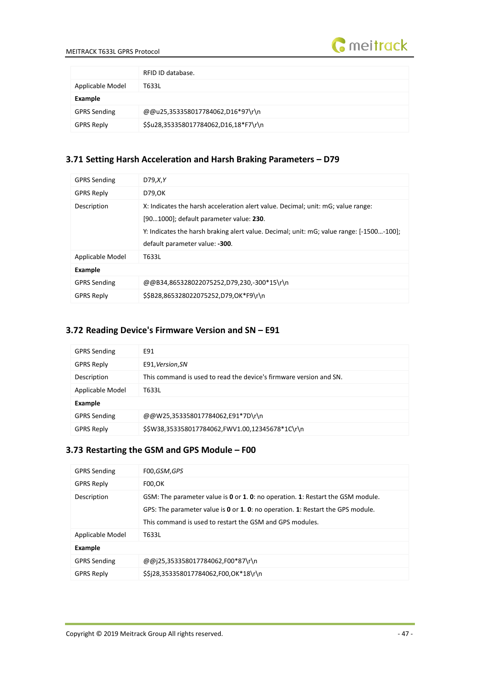

|                     | RFID ID database.                     |
|---------------------|---------------------------------------|
| Applicable Model    | T633L                                 |
| Example             |                                       |
| <b>GPRS Sending</b> | @@u25,353358017784062,D16*97\r\n      |
| <b>GPRS Reply</b>   | \$\$u28,353358017784062,D16,18*F7\r\n |

# <span id="page-46-0"></span>**3.71 Setting Harsh Acceleration and Harsh Braking Parameters – D79**

| <b>GPRS Sending</b> | D79, X, Y                                                                                                                                                                                                                                                 |
|---------------------|-----------------------------------------------------------------------------------------------------------------------------------------------------------------------------------------------------------------------------------------------------------|
| <b>GPRS Reply</b>   | D79,0K                                                                                                                                                                                                                                                    |
| Description         | X: Indicates the harsh acceleration alert value. Decimal; unit: mG; value range:<br>[901000]; default parameter value: 230.<br>Y: Indicates the harsh braking alert value. Decimal; unit: mG; value range: [-1500-100];<br>default parameter value: -300. |
| Applicable Model    | T633L                                                                                                                                                                                                                                                     |
| Example             |                                                                                                                                                                                                                                                           |
| <b>GPRS Sending</b> | @@B34,865328022075252,D79,230,-300*15\r\n                                                                                                                                                                                                                 |
| <b>GPRS Reply</b>   | \$\$B28,865328022075252,D79,OK*F9\r\n                                                                                                                                                                                                                     |

#### <span id="page-46-1"></span>**3.72 Reading Device's Firmware Version and SN – E91**

| <b>GPRS Sending</b> | E91                                                                |
|---------------------|--------------------------------------------------------------------|
| <b>GPRS Reply</b>   | E91, Version, SN                                                   |
| Description         | This command is used to read the device's firmware version and SN. |
| Applicable Model    | T633L                                                              |
| Example             |                                                                    |
| <b>GPRS Sending</b> | @@W25,353358017784062,E91*7D\r\n                                   |
| <b>GPRS Reply</b>   | \$\$W38,353358017784062,FWV1.00,12345678*1C\r\n                    |

# <span id="page-46-2"></span>**3.73 Restarting the GSM and GPS Module – F00**

| <b>GPRS Sending</b> | F00,GSM,GPS                                                                                            |
|---------------------|--------------------------------------------------------------------------------------------------------|
| <b>GPRS Reply</b>   | F00,OK                                                                                                 |
| Description         | GSM: The parameter value is <b>0</b> or <b>1. 0</b> : no operation. <b>1</b> : Restart the GSM module. |
|                     | GPS: The parameter value is 0 or 1. 0: no operation. 1: Restart the GPS module.                        |
|                     | This command is used to restart the GSM and GPS modules.                                               |
| Applicable Model    | T633L                                                                                                  |
| Example             |                                                                                                        |
| <b>GPRS Sending</b> | @@j25,353358017784062,F00*87\r\n                                                                       |
| <b>GPRS Reply</b>   | \$\$j28,353358017784062,F00,OK*18\r\n                                                                  |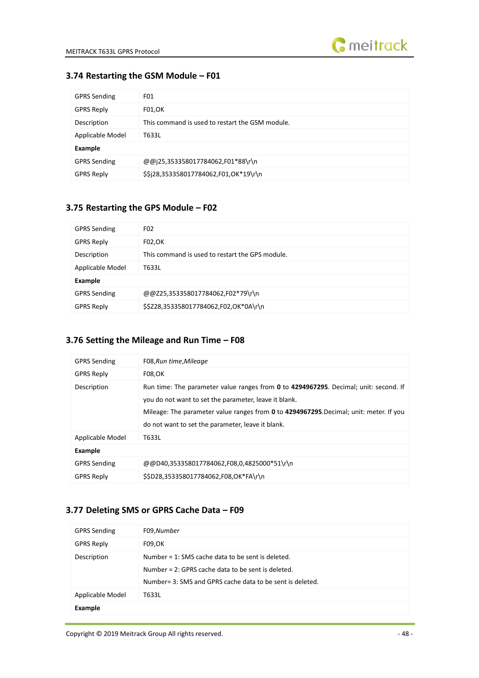

#### <span id="page-47-0"></span>**3.74 Restarting the GSM Module – F01**

| <b>GPRS Sending</b> | FO1                                             |
|---------------------|-------------------------------------------------|
| <b>GPRS Reply</b>   | F01, OK                                         |
| Description         | This command is used to restart the GSM module. |
| Applicable Model    | T633L                                           |
| <b>Example</b>      |                                                 |
| <b>GPRS Sending</b> | @@j25,353358017784062,F01*88\r\n                |
| <b>GPRS Reply</b>   | \$\$j28,353358017784062,F01,OK*19\r\n           |

#### <span id="page-47-1"></span>**3.75 Restarting the GPS Module – F02**

| <b>GPRS Sending</b> | F <sub>02</sub>                                 |
|---------------------|-------------------------------------------------|
| <b>GPRS Reply</b>   | <b>F02,OK</b>                                   |
| Description         | This command is used to restart the GPS module. |
| Applicable Model    | T633L                                           |
| Example             |                                                 |
| <b>GPRS Sending</b> | @@Z25,353358017784062,F02*79\r\n                |
| <b>GPRS Reply</b>   | \$\$Z28,353358017784062,F02,OK*0A\r\n           |

# <span id="page-47-2"></span>**3.76 Setting the Mileage and Run Time – F08**

| <b>GPRS Sending</b> | F08, Run time, Mileage                                                                                                                                                                                                                                                                       |
|---------------------|----------------------------------------------------------------------------------------------------------------------------------------------------------------------------------------------------------------------------------------------------------------------------------------------|
| <b>GPRS Reply</b>   | <b>F08,OK</b>                                                                                                                                                                                                                                                                                |
| Description         | Run time: The parameter value ranges from 0 to 4294967295. Decimal; unit: second. If<br>you do not want to set the parameter, leave it blank.<br>Mileage: The parameter value ranges from 0 to 4294967295. Decimal; unit: meter. If you<br>do not want to set the parameter, leave it blank. |
| Applicable Model    | T633L                                                                                                                                                                                                                                                                                        |
| Example             |                                                                                                                                                                                                                                                                                              |
| <b>GPRS Sending</b> | @@D40,353358017784062,F08,0,4825000*51\r\n                                                                                                                                                                                                                                                   |
| <b>GPRS Reply</b>   | \$\$D28,353358017784062,F08,OK*FA\r\n                                                                                                                                                                                                                                                        |

# <span id="page-47-3"></span>**3.77 Deleting SMS or GPRS Cache Data – F09**

| <b>GPRS Sending</b> | F09,Number                                                                                                                                                                |
|---------------------|---------------------------------------------------------------------------------------------------------------------------------------------------------------------------|
| <b>GPRS Reply</b>   | <b>F09,OK</b>                                                                                                                                                             |
| Description         | Number = $1:$ SMS cache data to be sent is deleted.<br>Number = $2:$ GPRS cache data to be sent is deleted.<br>Number = 3: SMS and GPRS cache data to be sent is deleted. |
| Applicable Model    | T633L                                                                                                                                                                     |
| <b>Example</b>      |                                                                                                                                                                           |